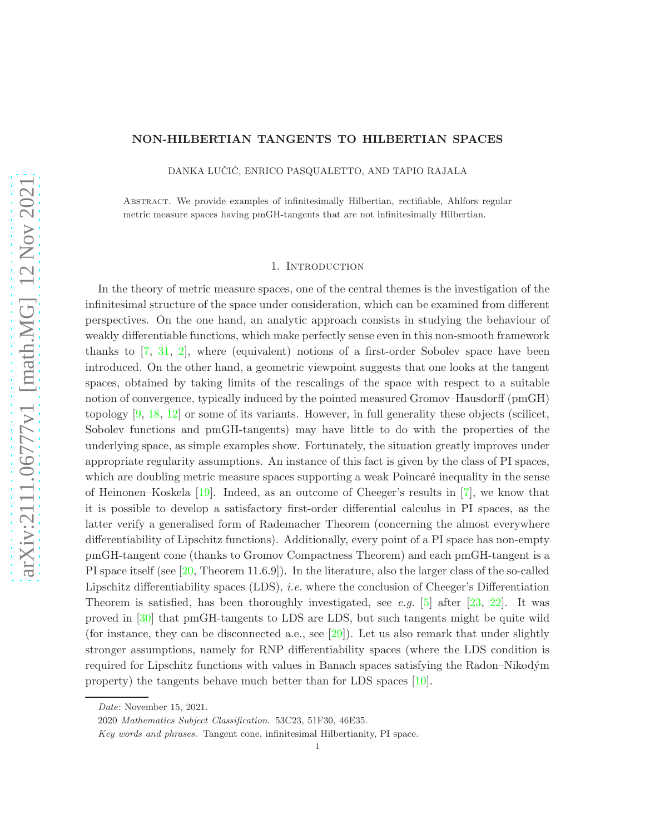### NON-HILBERTIAN TANGENTS TO HILBERTIAN SPACES

DANKA LUČIĆ, ENRICO PASQUALETTO, AND TAPIO RAJALA

Abstract. We provide examples of infinitesimally Hilbertian, rectifiable, Ahlfors regular metric measure spaces having pmGH-tangents that are not infinitesimally Hilbertian.

#### 1. Introduction

In the theory of metric measure spaces, one of the central themes is the investigation of the infinitesimal structure of the space under consideration, which can be examined from different perspectives. On the one hand, an analytic approach consists in studying the behaviour of weakly differentiable functions, which make perfectly sense even in this non-smooth framework thanks to [\[7,](#page-17-0) [31,](#page-18-0) [2\]](#page-17-1), where (equivalent) notions of a first-order Sobolev space have been introduced. On the other hand, a geometric viewpoint suggests that one looks at the tangent spaces, obtained by taking limits of the rescalings of the space with respect to a suitable notion of convergence, typically induced by the pointed measured Gromov–Hausdorff (pmGH) topology [\[9,](#page-17-2) [18,](#page-17-3) [12\]](#page-17-4) or some of its variants. However, in full generality these objects (scilicet, Sobolev functions and pmGH-tangents) may have little to do with the properties of the underlying space, as simple examples show. Fortunately, the situation greatly improves under appropriate regularity assumptions. An instance of this fact is given by the class of PI spaces, which are doubling metric measure spaces supporting a weak Poincaré inequality in the sense of Heinonen–Koskela [\[19\]](#page-17-5). Indeed, as an outcome of Cheeger's results in [\[7\]](#page-17-0), we know that it is possible to develop a satisfactory first-order differential calculus in PI spaces, as the latter verify a generalised form of Rademacher Theorem (concerning the almost everywhere differentiability of Lipschitz functions). Additionally, every point of a PI space has non-empty pmGH-tangent cone (thanks to Gromov Compactness Theorem) and each pmGH-tangent is a PI space itself (see [\[20,](#page-17-6) Theorem 11.6.9]). In the literature, also the larger class of the so-called Lipschitz differentiability spaces (LDS), i.e. where the conclusion of Cheeger's Differentiation Theorem is satisfied, has been thoroughly investigated, see e.g. [\[5\]](#page-17-7) after [\[23,](#page-18-1) [22\]](#page-18-2). It was proved in [\[30\]](#page-18-3) that pmGH-tangents to LDS are LDS, but such tangents might be quite wild (for instance, they can be disconnected a.e., see  $[29]$ ). Let us also remark that under slightly stronger assumptions, namely for RNP differentiability spaces (where the LDS condition is required for Lipschitz functions with values in Banach spaces satisfying the Radon–Nikodým property) the tangents behave much better than for LDS spaces [\[10\]](#page-17-8).

Date: November 15, 2021.

<sup>2020</sup> Mathematics Subject Classification. 53C23, 51F30, 46E35.

Key words and phrases. Tangent cone, infinitesimal Hilbertianity, PI space.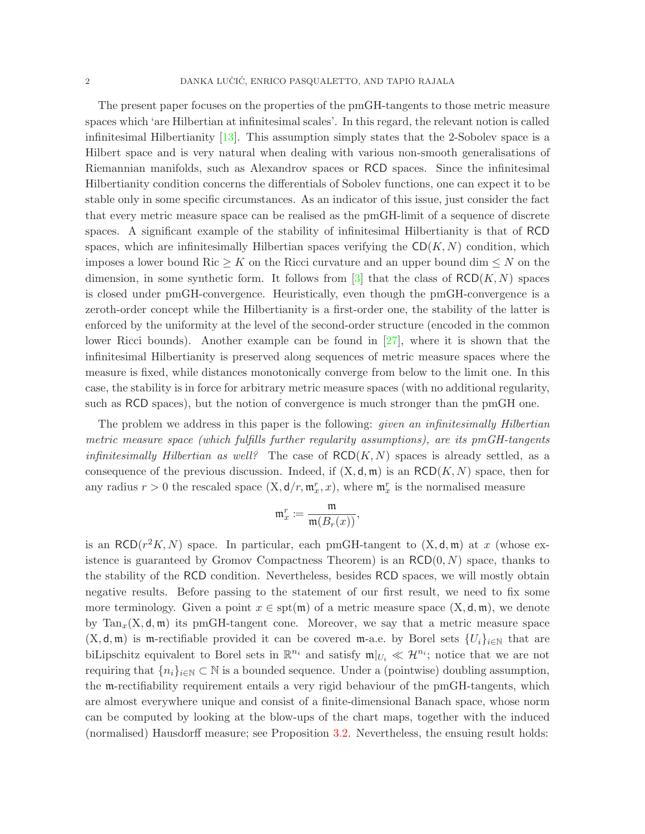The present paper focuses on the properties of the pmGH-tangents to those metric measure spaces which 'are Hilbertian at infinitesimal scales'. In this regard, the relevant notion is called infinitesimal Hilbertianity [\[13\]](#page-17-9). This assumption simply states that the 2-Sobolev space is a Hilbert space and is very natural when dealing with various non-smooth generalisations of Riemannian manifolds, such as Alexandrov spaces or RCD spaces. Since the infinitesimal Hilbertianity condition concerns the differentials of Sobolev functions, one can expect it to be stable only in some specific circumstances. As an indicator of this issue, just consider the fact that every metric measure space can be realised as the pmGH-limit of a sequence of discrete spaces. A significant example of the stability of infinitesimal Hilbertianity is that of RCD spaces, which are infinitesimally Hilbertian spaces verifying the  $CD(K, N)$  condition, which imposes a lower bound Ric  $\geq K$  on the Ricci curvature and an upper bound dim  $\leq N$  on the dimension, in some synthetic form. It follows from  $[3]$  that the class of  $RCD(K, N)$  spaces is closed under pmGH-convergence. Heuristically, even though the pmGH-convergence is a zeroth-order concept while the Hilbertianity is a first-order one, the stability of the latter is enforced by the uniformity at the level of the second-order structure (encoded in the common lower Ricci bounds). Another example can be found in [\[27\]](#page-18-5), where it is shown that the infinitesimal Hilbertianity is preserved along sequences of metric measure spaces where the measure is fixed, while distances monotonically converge from below to the limit one. In this case, the stability is in force for arbitrary metric measure spaces (with no additional regularity, such as RCD spaces), but the notion of convergence is much stronger than the pmGH one.

The problem we address in this paper is the following: *given an infinitesimally Hilbertian* metric measure space (which fulfills further regularity assumptions), are its pmGH-tangents *infinitesimally Hilbertian as well?* The case of  $RCD(K, N)$  spaces is already settled, as a consequence of the previous discussion. Indeed, if  $(X, \mathsf{d}, \mathfrak{m})$  is an RCD $(K, N)$  space, then for any radius  $r > 0$  the rescaled space  $(X, d/r, m_x^r, x)$ , where  $m_x^r$  is the normalised measure

$$
\mathfrak{m}_x^r \coloneqq \frac{\mathfrak{m}}{\mathfrak{m}(B_r(x))},
$$

is an RCD( $r^2K, N$ ) space. In particular, each pmGH-tangent to  $(X, d, m)$  at x (whose existence is guaranteed by Gromov Compactness Theorem) is an  $RCD(0, N)$  space, thanks to the stability of the RCD condition. Nevertheless, besides RCD spaces, we will mostly obtain negative results. Before passing to the statement of our first result, we need to fix some more terminology. Given a point  $x \in \text{spt}(\mathfrak{m})$  of a metric measure space  $(X, \mathsf{d}, \mathfrak{m})$ , we denote by  $\text{Tan}_x(X, \mathsf{d}, \mathfrak{m})$  its pmGH-tangent cone. Moreover, we say that a metric measure space  $(X, d, m)$  is m-rectifiable provided it can be covered m-a.e. by Borel sets  $\{U_i\}_{i\in\mathbb{N}}$  that are biLipschitz equivalent to Borel sets in  $\mathbb{R}^{n_i}$  and satisfy  $\mathfrak{m}|_{U_i} \ll \mathcal{H}^{n_i}$ ; notice that we are not requiring that  $\{n_i\}_{i\in\mathbb{N}}\subset\mathbb{N}$  is a bounded sequence. Under a (pointwise) doubling assumption, the m-rectifiability requirement entails a very rigid behaviour of the pmGH-tangents, which are almost everywhere unique and consist of a finite-dimensional Banach space, whose norm can be computed by looking at the blow-ups of the chart maps, together with the induced (normalised) Hausdorff measure; see Proposition [3.2.](#page-9-0) Nevertheless, the ensuing result holds: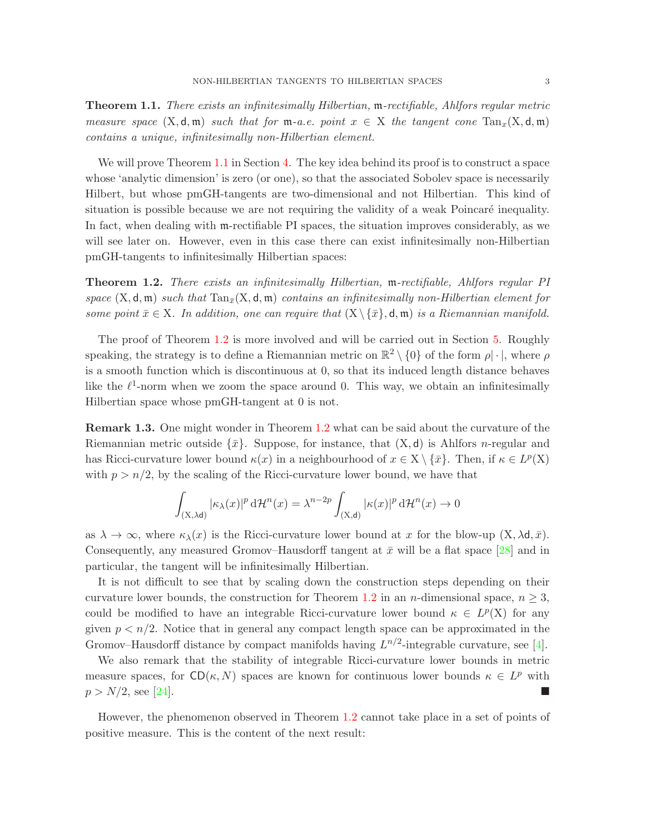<span id="page-2-0"></span>**Theorem 1.1.** There exists an infinitesimally Hilbertian, m-rectifiable, Ahlfors regular metric measure space  $(X, d, \mathfrak{m})$  such that for  $\mathfrak{m}$ -a.e. point  $x \in X$  the tangent cone  $\text{Tan}_x(X, d, \mathfrak{m})$ contains a unique, infinitesimally non-Hilbertian element.

We will prove Theorem [1.1](#page-2-0) in Section [4.](#page-10-0) The key idea behind its proof is to construct a space whose 'analytic dimension' is zero (or one), so that the associated Sobolev space is necessarily Hilbert, but whose pmGH-tangents are two-dimensional and not Hilbertian. This kind of situation is possible because we are not requiring the validity of a weak Poincaré inequality. In fact, when dealing with m-rectifiable PI spaces, the situation improves considerably, as we will see later on. However, even in this case there can exist infinitesimally non-Hilbertian pmGH-tangents to infinitesimally Hilbertian spaces:

<span id="page-2-1"></span>Theorem 1.2. There exists an infinitesimally Hilbertian, m-rectifiable, Ahlfors regular PI space  $(X, d, m)$  such that  $Tan_{\bar{x}}(X, d, m)$  contains an infinitesimally non-Hilbertian element for some point  $\bar{x} \in X$ . In addition, one can require that  $(X \setminus {\bar{x}}$ , d, m) is a Riemannian manifold.

The proof of Theorem [1.2](#page-2-1) is more involved and will be carried out in Section [5.](#page-10-1) Roughly speaking, the strategy is to define a Riemannian metric on  $\mathbb{R}^2 \setminus \{0\}$  of the form  $\rho | \cdot |$ , where  $\rho$ is a smooth function which is discontinuous at 0, so that its induced length distance behaves like the  $\ell^1$ -norm when we zoom the space around 0. This way, we obtain an infinitesimally Hilbertian space whose pmGH-tangent at 0 is not.

Remark 1.3. One might wonder in Theorem [1.2](#page-2-1) what can be said about the curvature of the Riemannian metric outside  $\{\bar{x}\}\$ . Suppose, for instance, that  $(X, d)$  is Ahlfors *n*-regular and has Ricci-curvature lower bound  $\kappa(x)$  in a neighbourhood of  $x \in X \setminus {\overline{x}}$ . Then, if  $\kappa \in L^p(X)$ with  $p > n/2$ , by the scaling of the Ricci-curvature lower bound, we have that

$$
\int_{(\mathbf{X},\lambda \mathbf{d})} |\kappa_{\lambda}(x)|^p \, \mathrm{d} \mathcal{H}^n(x) = \lambda^{n-2p} \int_{(\mathbf{X},\mathbf{d})} |\kappa(x)|^p \, \mathrm{d} \mathcal{H}^n(x) \to 0
$$

as  $\lambda \to \infty$ , where  $\kappa_\lambda(x)$  is the Ricci-curvature lower bound at x for the blow-up  $(X, \lambda d, \bar{x})$ . Consequently, any measured Gromov–Hausdorff tangent at  $\bar{x}$  will be a flat space [\[28\]](#page-18-6) and in particular, the tangent will be infinitesimally Hilbertian.

It is not difficult to see that by scaling down the construction steps depending on their curvature lower bounds, the construction for Theorem [1.2](#page-2-1) in an n-dimensional space,  $n \geq 3$ , could be modified to have an integrable Ricci-curvature lower bound  $\kappa \in L^p(X)$  for any given  $p < n/2$ . Notice that in general any compact length space can be approximated in the Gromov–Hausdorff distance by compact manifolds having  $L^{n/2}$ -integrable curvature, see [\[4\]](#page-17-11).

We also remark that the stability of integrable Ricci-curvature lower bounds in metric measure spaces, for  $CD(\kappa, N)$  spaces are known for continuous lower bounds  $\kappa \in L^p$  with  $p > N/2$ , see [\[24\]](#page-18-7).

However, the phenomenon observed in Theorem [1.2](#page-2-1) cannot take place in a set of points of positive measure. This is the content of the next result: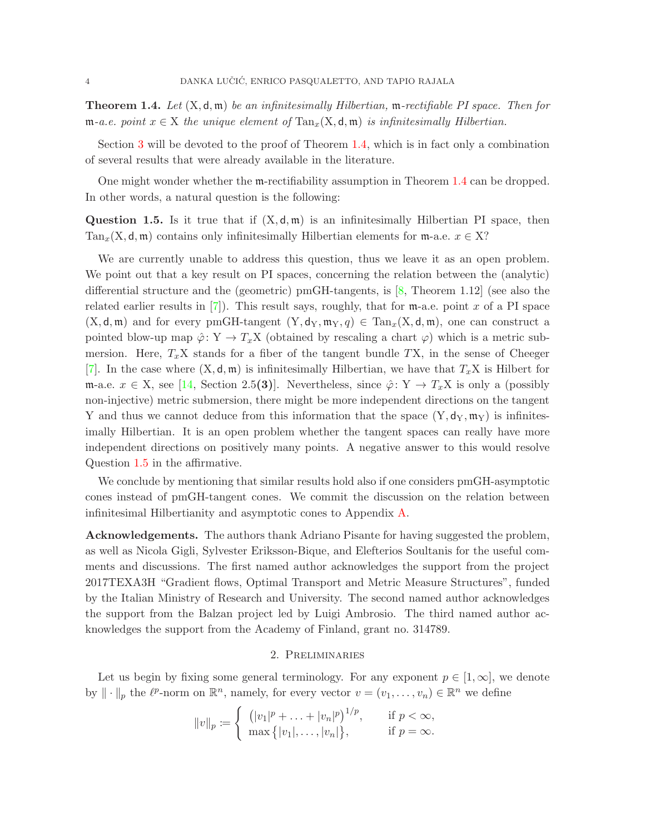<span id="page-3-0"></span>**Theorem 1.4.** Let  $(X, \mathsf{d}, \mathfrak{m})$  be an infinitesimally Hilbertian,  $\mathfrak{m}\text{-rectifiable PI space.}$  Then for  $\mathfrak{m}$ -a.e. point  $x \in X$  the unique element of  $\text{Tan}_x(X, \mathsf{d}, \mathfrak{m})$  is infinitesimally Hilbertian.

Section [3](#page-8-0) will be devoted to the proof of Theorem [1.4,](#page-3-0) which is in fact only a combination of several results that were already available in the literature.

One might wonder whether the m-rectifiability assumption in Theorem [1.4](#page-3-0) can be dropped. In other words, a natural question is the following:

<span id="page-3-1"></span>**Question 1.5.** Is it true that if  $(X, \mathsf{d}, \mathfrak{m})$  is an infinitesimally Hilbertian PI space, then Tan<sub>x</sub>(X, d, m) contains only infinitesimally Hilbertian elements for m-a.e.  $x \in X$ ?

We are currently unable to address this question, thus we leave it as an open problem. We point out that a key result on PI spaces, concerning the relation between the (analytic) differential structure and the (geometric) pmGH-tangents, is [\[8,](#page-17-12) Theorem 1.12] (see also the related earlier results in  $[7]$ ). This result says, roughly, that for  $m$ -a.e. point x of a PI space  $(X, \mathsf{d}, \mathfrak{m})$  and for every pmGH-tangent  $(Y, \mathsf{d}_Y, \mathfrak{m}_Y, q) \in \text{Tan}_x(X, \mathsf{d}, \mathfrak{m})$ , one can construct a pointed blow-up map  $\hat{\varphi} \colon Y \to T_x X$  (obtained by rescaling a chart  $\varphi$ ) which is a metric submersion. Here,  $T_xX$  stands for a fiber of the tangent bundle TX, in the sense of Cheeger [\[7\]](#page-17-0). In the case where  $(X, \mathsf{d}, \mathfrak{m})$  is infinitesimally Hilbertian, we have that  $T_xX$  is Hilbert for m-a.e.  $x \in X$ , see [\[14,](#page-17-13) Section 2.5(3)]. Nevertheless, since  $\hat{\varphi} \colon Y \to T_x X$  is only a (possibly non-injective) metric submersion, there might be more independent directions on the tangent Y and thus we cannot deduce from this information that the space  $(Y, d_Y, m_Y)$  is infinitesimally Hilbertian. It is an open problem whether the tangent spaces can really have more independent directions on positively many points. A negative answer to this would resolve Question [1.5](#page-3-1) in the affirmative.

We conclude by mentioning that similar results hold also if one considers pmGH-asymptotic cones instead of pmGH-tangent cones. We commit the discussion on the relation between infinitesimal Hilbertianity and asymptotic cones to Appendix [A.](#page-14-0)

**Acknowledgements.** The authors thank Adriano Pisante for having suggested the problem, as well as Nicola Gigli, Sylvester Eriksson-Bique, and Elefterios Soultanis for the useful comments and discussions. The first named author acknowledges the support from the project 2017TEXA3H "Gradient flows, Optimal Transport and Metric Measure Structures", funded by the Italian Ministry of Research and University. The second named author acknowledges the support from the Balzan project led by Luigi Ambrosio. The third named author acknowledges the support from the Academy of Finland, grant no. 314789.

# 2. Preliminaries

Let us begin by fixing some general terminology. For any exponent  $p \in [1,\infty]$ , we denote by  $\|\cdot\|_p$  the  $\ell^p$ -norm on  $\mathbb{R}^n$ , namely, for every vector  $v = (v_1, \ldots, v_n) \in \mathbb{R}^n$  we define

$$
||v||_p := \begin{cases} (|v_1|^p + \dots + |v_n|^p)^{1/p}, & \text{if } p < \infty, \\ \max\{|v_1|, \dots, |v_n|\}, & \text{if } p = \infty. \end{cases}
$$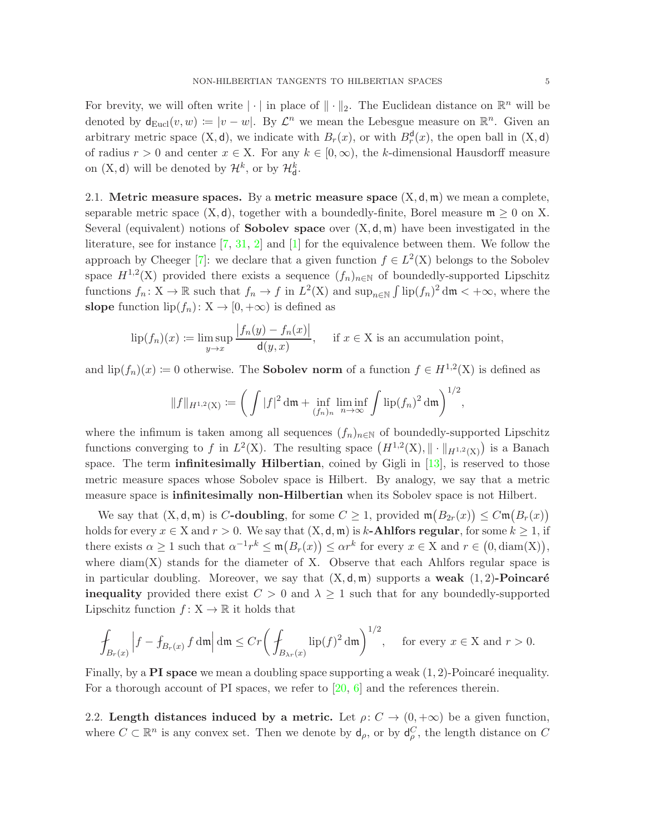For brevity, we will often write  $|\cdot|$  in place of  $\|\cdot\|_2$ . The Euclidean distance on  $\mathbb{R}^n$  will be denoted by  $d_{Eucl}(v, w) := |v - w|$ . By  $\mathcal{L}^n$  we mean the Lebesgue measure on  $\mathbb{R}^n$ . Given an arbitrary metric space  $(X, d)$ , we indicate with  $B_r(x)$ , or with  $B_r<sup>d</sup>(x)$ , the open ball in  $(X, d)$ of radius  $r > 0$  and center  $x \in X$ . For any  $k \in [0, \infty)$ , the k-dimensional Hausdorff measure on  $(X, d)$  will be denoted by  $\mathcal{H}^k$ , or by  $\mathcal{H}^k_d$ .

2.1. Metric measure spaces. By a metric measure space  $(X, d, m)$  we mean a complete, separable metric space  $(X, d)$ , together with a boundedly-finite, Borel measure  $m \geq 0$  on X. Several (equivalent) notions of **Sobolev space** over  $(X, d, m)$  have been investigated in the literature, see for instance  $[7, 31, 2]$  $[7, 31, 2]$  $[7, 31, 2]$  $[7, 31, 2]$  and  $[1]$  for the equivalence between them. We follow the approach by Cheeger [\[7\]](#page-17-0): we declare that a given function  $f \in L^2(X)$  belongs to the Sobolev space  $H^{1,2}(X)$  provided there exists a sequence  $(f_n)_{n\in\mathbb{N}}$  of boundedly-supported Lipschitz functions  $f_n: X \to \mathbb{R}$  such that  $f_n \to f$  in  $L^2(X)$  and  $\sup_{n \in \mathbb{N}} \int \text{lip}(f_n)^2 dm < +\infty$ , where the slope function  $lip(f_n): X \to [0, +\infty)$  is defined as

$$
\text{lip}(f_n)(x) := \limsup_{y \to x} \frac{|f_n(y) - f_n(x)|}{\mathsf{d}(y, x)}, \quad \text{if } x \in \mathcal{X} \text{ is an accumulation point},
$$

and  $lip(f_n)(x) := 0$  otherwise. The **Sobolev norm** of a function  $f \in H^{1,2}(\mathbf{X})$  is defined as

$$
||f||_{H^{1,2}(\mathbf{X})} := \bigg(\int |f|^2 \, \mathrm{d}\mathfrak{m} + \inf_{(f_n)_n} \liminf_{n \to \infty} \int \mathrm{lip}(f_n)^2 \, \mathrm{d}\mathfrak{m}\bigg)^{1/2},
$$

where the infimum is taken among all sequences  $(f_n)_{n\in\mathbb{N}}$  of boundedly-supported Lipschitz functions converging to f in  $L^2(X)$ . The resulting space  $(H^{1,2}(X), \|\cdot\|_{H^{1,2}(X)})$  is a Banach space. The term **infinitesimally Hilbertian**, coined by Gigli in  $[13]$ , is reserved to those metric measure spaces whose Sobolev space is Hilbert. By analogy, we say that a metric measure space is **infinitesimally non-Hilbertian** when its Sobolev space is not Hilbert.

We say that  $(X, \mathsf{d}, \mathfrak{m})$  is C-doubling, for some  $C \geq 1$ , provided  $\mathfrak{m}(B_{2r}(x)) \leq C \mathfrak{m}(B_r(x))$ holds for every  $x \in X$  and  $r > 0$ . We say that  $(X, d, \mathfrak{m})$  is k-**Ahlfors regular**, for some  $k \geq 1$ , if there exists  $\alpha \geq 1$  such that  $\alpha^{-1}r^k \leq \mathfrak{m}(B_r(x)) \leq \alpha r^k$  for every  $x \in X$  and  $r \in (0, \text{diam}(X)),$ where  $\text{diam}(X)$  stands for the diameter of X. Observe that each Ahlfors regular space is in particular doubling. Moreover, we say that  $(X, \mathsf{d}, \mathfrak{m})$  supports a weak  $(1, 2)$ -Poincaré **inequality** provided there exist  $C > 0$  and  $\lambda \geq 1$  such that for any boundedly-supported Lipschitz function  $f: X \to \mathbb{R}$  it holds that

$$
\int_{B_r(x)} \left| f - f_{B_r(x)} f \, \mathrm{d}\mathfrak{m} \right| \mathrm{d}\mathfrak{m} \le Cr \bigg( \int_{B_{\lambda r}(x)} \mathrm{lip}(f)^2 \, \mathrm{d}\mathfrak{m} \bigg)^{1/2}, \quad \text{ for every } x \in X \text{ and } r > 0.
$$

Finally, by a **PI** space we mean a doubling space supporting a weak  $(1, 2)$ -Poincaré inequality. For a thorough account of PI spaces, we refer to  $[20, 6]$  $[20, 6]$  and the references therein.

2.2. Length distances induced by a metric. Let  $\rho: C \to (0, +\infty)$  be a given function, where  $C \subset \mathbb{R}^n$  is any convex set. Then we denote by  $d_{\rho}$ , or by  $d_{\rho}^C$ , the length distance on C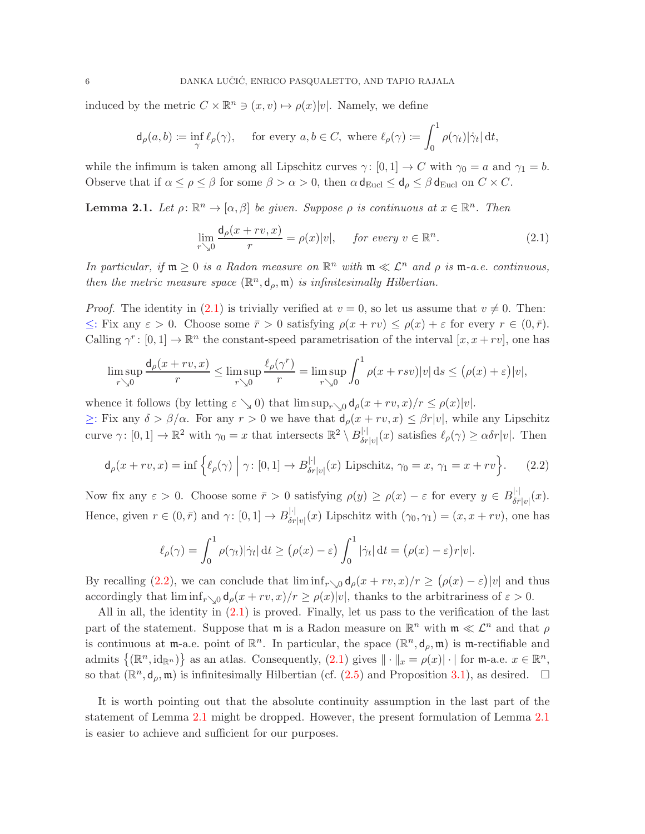induced by the metric  $C \times \mathbb{R}^n \ni (x, v) \mapsto \rho(x)|v|$ . Namely, we define

$$
\mathsf{d}_{\rho}(a,b) \coloneqq \inf_{\gamma} \ell_{\rho}(\gamma), \quad \text{ for every } a,b \in C, \text{ where } \ell_{\rho}(\gamma) \coloneqq \int_{0}^{1} \rho(\gamma_{t}) |\dot{\gamma}_{t}| \, \mathrm{d}t,
$$

while the infimum is taken among all Lipschitz curves  $\gamma: [0,1] \to C$  with  $\gamma_0 = a$  and  $\gamma_1 = b$ . Observe that if  $\alpha \le \rho \le \beta$  for some  $\beta > \alpha > 0$ , then  $\alpha \, d_{\text{Eucl}} \le d_\rho \le \beta \, d_{\text{Eucl}}$  on  $C \times C$ .

<span id="page-5-2"></span>**Lemma 2.1.** Let  $\rho: \mathbb{R}^n \to [\alpha, \beta]$  be given. Suppose  $\rho$  is continuous at  $x \in \mathbb{R}^n$ . Then

<span id="page-5-0"></span>
$$
\lim_{r \searrow 0} \frac{\mathrm{d}_{\rho}(x+rv, x)}{r} = \rho(x)|v|, \quad \text{ for every } v \in \mathbb{R}^n. \tag{2.1}
$$

In particular, if  $m \geq 0$  is a Radon measure on  $\mathbb{R}^n$  with  $m \ll \mathcal{L}^n$  and  $\rho$  is  $m$ -a.e. continuous, then the metric measure space  $(\mathbb{R}^n, d_\rho, \mathfrak{m})$  is infinitesimally Hilbertian.

*Proof.* The identity in [\(2.1\)](#page-5-0) is trivially verified at  $v = 0$ , so let us assume that  $v \neq 0$ . Then:  $\leq$ : Fix any  $\varepsilon > 0$ . Choose some  $\bar{r} > 0$  satisfying  $\rho(x + rv) \leq \rho(x) + \varepsilon$  for every  $r \in (0, \bar{r})$ . Calling  $\gamma^r: [0,1] \to \mathbb{R}^n$  the constant-speed parametrisation of the interval  $[x, x+rv]$ , one has

$$
\limsup_{r\searrow 0} \frac{d_{\rho}(x+rv,x)}{r} \le \limsup_{r\searrow 0} \frac{\ell_{\rho}(\gamma^r)}{r} = \limsup_{r\searrow 0} \int_0^1 \rho(x+rsv)|v| \, ds \le (\rho(x)+\varepsilon)|v|,
$$

whence it follows (by letting  $\varepsilon \searrow 0$ ) that  $\limsup_{r\searrow 0} d_{\rho}(x+rv,x)/r \leq \rho(x)|v|.$ 

 $\geq$ : Fix any  $\delta > \beta/\alpha$ . For any  $r > 0$  we have that  $d_{\rho}(x + rv, x) \leq \beta r|v|$ , while any Lipschitz curve  $\gamma: [0,1] \to \mathbb{R}^2$  with  $\gamma_0 = x$  that intersects  $\mathbb{R}^2 \setminus B_{\delta r|v|}^{|\cdot|}(x)$  satisfies  $\ell_\rho(\gamma) \geq \alpha \delta r|v|$ . Then

<span id="page-5-1"></span>
$$
\mathsf{d}_{\rho}(x+rv,x) = \inf \left\{ \ell_{\rho}(\gamma) \; \middle| \; \gamma \colon [0,1] \to B_{\delta r|v|}^{|\cdot|}(x) \text{ Lipschitz, } \gamma_0 = x, \, \gamma_1 = x+rv \right\}.
$$
 (2.2)

Now fix any  $\varepsilon > 0$ . Choose some  $\bar{r} > 0$  satisfying  $\rho(y) \ge \rho(x) - \varepsilon$  for every  $y \in B_{\delta \bar{r}|v|}^{|\cdot|}(x)$ . Hence, given  $r \in (0, \bar{r})$  and  $\gamma: [0, 1] \to B_{\delta r|v|}^{|\cdot|}(x)$  Lipschitz with  $(\gamma_0, \gamma_1) = (x, x + rv)$ , one has

$$
\ell_{\rho}(\gamma) = \int_0^1 \rho(\gamma_t) |\dot{\gamma}_t| dt \ge (\rho(x) - \varepsilon) \int_0^1 |\dot{\gamma}_t| dt = (\rho(x) - \varepsilon) r |v|.
$$

By recalling [\(2.2\)](#page-5-1), we can conclude that  $\liminf_{r\searrow0} d_{\rho}(x+rv,x)/r \geq (\rho(x)-\varepsilon)|v|$  and thus accordingly that  $\liminf_{r\to 0} d_{\rho}(x+rv,x)/r \geq \rho(x)|v|$ , thanks to the arbitrariness of  $\varepsilon > 0$ .

All in all, the identity in [\(2.1\)](#page-5-0) is proved. Finally, let us pass to the verification of the last part of the statement. Suppose that  $\mathfrak{m}$  is a Radon measure on  $\mathbb{R}^n$  with  $\mathfrak{m} \ll \mathcal{L}^n$  and that  $\rho$ is continuous at m-a.e. point of  $\mathbb{R}^n$ . In particular, the space  $(\mathbb{R}^n, d_\rho, \mathfrak{m})$  is m-rectifiable and admits  $\{(\mathbb{R}^n, id_{\mathbb{R}^n})\}$  as an atlas. Consequently,  $(2.1)$  gives  $\|\cdot\|_x = \rho(x)|\cdot|$  for  $\mathfrak{m}$ -a.e.  $x \in \mathbb{R}^n$ , so that  $(\mathbb{R}^n, d_\rho, \mathfrak{m})$  is infinitesimally Hilbertian (cf.  $(2.5)$  and Proposition [3.1\)](#page-8-2), as desired.  $\Box$ 

It is worth pointing out that the absolute continuity assumption in the last part of the statement of Lemma [2.1](#page-5-2) might be dropped. However, the present formulation of Lemma [2.1](#page-5-2) is easier to achieve and sufficient for our purposes.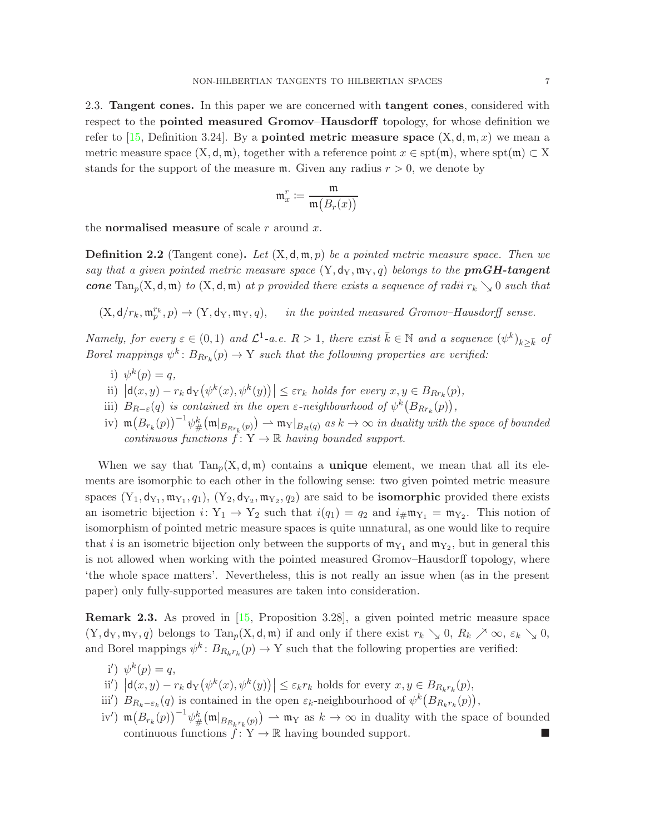2.3. Tangent cones. In this paper we are concerned with tangent cones, considered with respect to the pointed measured Gromov–Hausdorff topology, for whose definition we refer to [\[15,](#page-17-16) Definition 3.24]. By a **pointed metric measure space**  $(X, d, m, x)$  we mean a metric measure space  $(X, d, m)$ , together with a reference point  $x \in \text{spt}(m)$ , where  $\text{spt}(m) \subset X$ stands for the support of the measure  $m$ . Given any radius  $r > 0$ , we denote by

$$
\mathfrak{m}^r_x \coloneqq \frac{\mathfrak{m}}{\mathfrak{m}\big(B_r(x)\big)}
$$

the **normalised measure** of scale r around x.

<span id="page-6-0"></span>**Definition 2.2** (Tangent cone). Let  $(X, \mathsf{d}, \mathfrak{m}, p)$  be a pointed metric measure space. Then we say that a given pointed metric measure space  $(Y, d_Y, m_Y, q)$  belongs to the **pmGH-tangent** cone  $\text{Tan}_p(X, \mathsf{d}, \mathfrak{m})$  to  $(X, \mathsf{d}, \mathfrak{m})$  at p provided there exists a sequence of radii  $r_k \searrow 0$  such that

 $(X, d/r_k, \mathfrak{m}_{p}^{r_k}, p) \rightarrow (Y, d_Y, \mathfrak{m}_Y, q),$  in the pointed measured Gromov–Hausdorff sense.

Namely, for every  $\varepsilon \in (0,1)$  and  $\mathcal{L}^1$ -a.e.  $R > 1$ , there exist  $\bar{k} \in \mathbb{N}$  and a sequence  $(\psi^k)_{k \geq \bar{k}}$  of Borel mappings  $\psi^k$ :  $B_{Rr_k}(p) \to Y$  such that the following properties are verified:

- i)  $\psi^k(p) = q$ ,
- ii)  $|d(x,y) r_k d_Y(\psi^k(x), \psi^k(y))| \leq \varepsilon r_k$  holds for every  $x, y \in B_{Rr_k}(p)$ ,
- iii)  $B_{R-\varepsilon}(q)$  is contained in the open  $\varepsilon$ -neighbourhood of  $\psi^k(B_{Rr_k}(p))$ ,
- iv)  $\mathfrak{m}(B_{r_k}(p))^{-1}\psi_{\#}^k(\mathfrak{m}|_{B_{Rr_k}(p)}) \rightharpoonup \mathfrak{m}_Y|_{B_R(q)}$  as  $k \to \infty$  in duality with the space of bounded continuous functions  $f: Y \to \mathbb{R}$  having bounded support.

When we say that  $Tan_p(X, d, m)$  contains a **unique** element, we mean that all its elements are isomorphic to each other in the following sense: two given pointed metric measure spaces  $(Y_1, d_{Y_1}, m_{Y_1}, q_1)$ ,  $(Y_2, d_{Y_2}, m_{Y_2}, q_2)$  are said to be **isomorphic** provided there exists an isometric bijection  $i: Y_1 \to Y_2$  such that  $i(q_1) = q_2$  and  $i_{\#} \mathfrak{m}_{Y_1} = \mathfrak{m}_{Y_2}$ . This notion of isomorphism of pointed metric measure spaces is quite unnatural, as one would like to require that *i* is an isometric bijection only between the supports of  $m_{Y_1}$  and  $m_{Y_2}$ , but in general this is not allowed when working with the pointed measured Gromov–Hausdorff topology, where 'the whole space matters'. Nevertheless, this is not really an issue when (as in the present paper) only fully-supported measures are taken into consideration.

<span id="page-6-1"></span>Remark 2.3. As proved in [\[15,](#page-17-16) Proposition 3.28], a given pointed metric measure space  $(Y, d_Y, \mathfrak{m}_Y, q)$  belongs to  $\text{Tan}_p(X, d, \mathfrak{m})$  if and only if there exist  $r_k \searrow 0$ ,  $R_k \nearrow \infty$ ,  $\varepsilon_k \searrow 0$ , and Borel mappings  $\psi^k: B_{R_k r_k}(p) \to Y$  such that the following properties are verified:

- i')  $\psi^k(p) = q$ ,
- ii')  $|\mathsf{d}(x,y) r_k \mathsf{d}_Y(\psi^k(x), \psi^k(y))| \leq \varepsilon_k r_k$  holds for every  $x, y \in B_{R_k r_k}(p)$ ,
- iii')  $B_{R_k-\varepsilon_k}(q)$  is contained in the open  $\varepsilon_k$ -neighbourhood of  $\psi^k(B_{R_kr_k}(p))$ ,
- iv')  $\mathfrak{m}(B_{r_k}(p))^{-1}\psi_{\#}^k(\mathfrak{m}|_{B_{R_k r_k}(p)}) \rightharpoonup \mathfrak{m}_Y$  as  $k \to \infty$  in duality with the space of bounded continuous functions  $\hat{f}: Y \to \mathbb{R}$  having bounded support.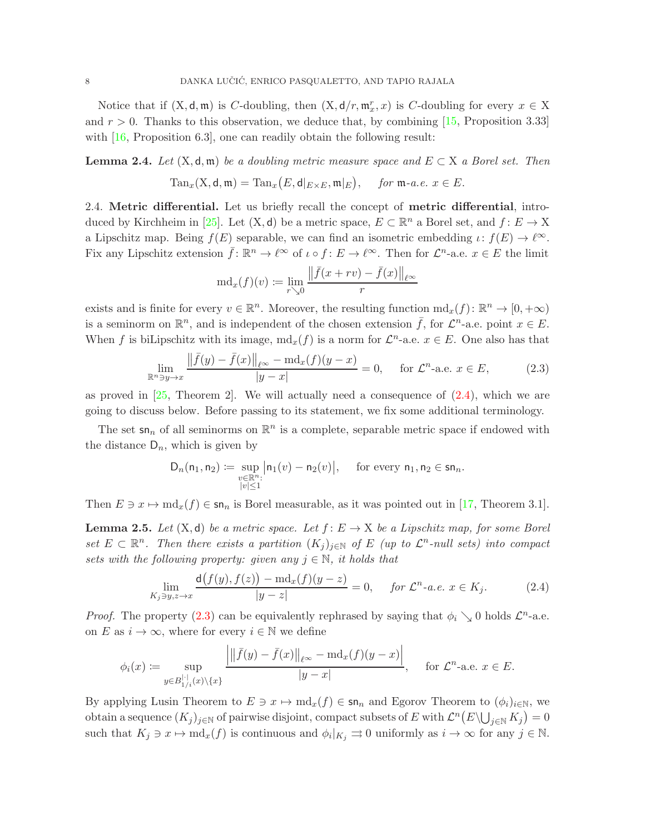Notice that if  $(X, \mathsf{d}, \mathfrak{m})$  is C-doubling, then  $(X, \mathsf{d}/r, \mathfrak{m}_x^r, x)$  is C-doubling for every  $x \in X$ and  $r > 0$ . Thanks to this observation, we deduce that, by combining [\[15,](#page-17-16) Proposition 3.33] with  $[16,$  Proposition 6.3, one can readily obtain the following result:

<span id="page-7-3"></span>**Lemma 2.4.** Let  $(X, \mathsf{d}, \mathfrak{m})$  be a doubling metric measure space and  $E \subset X$  a Borel set. Then

$$
\mathrm{Tan}_x(\mathrm{X},\mathsf{d},\mathfrak{m})=\mathrm{Tan}_x\big(E,\mathsf{d}|_{E\times E},\mathfrak{m}|_E\big),\quad\text{ for $\mathfrak{m}$-a.e. }x\in E.
$$

2.4. Metric differential. Let us briefly recall the concept of metric differential, intro-duced by Kirchheim in [\[25\]](#page-18-8). Let  $(X, d)$  be a metric space,  $E \subset \mathbb{R}^n$  a Borel set, and  $f: E \to X$ a Lipschitz map. Being  $f(E)$  separable, we can find an isometric embedding  $\iota: f(E) \to \ell^{\infty}$ . Fix any Lipschitz extension  $\bar{f} : \mathbb{R}^n \to \ell^{\infty}$  of  $\iota \circ f : E \to \ell^{\infty}$ . Then for  $\mathcal{L}^n$ -a.e.  $x \in E$  the limit

$$
\mathrm{md}_x(f)(v) \coloneqq \lim_{r \searrow 0} \frac{\|\bar{f}(x+rv) - \bar{f}(x)\|_{\ell^\infty}}{r}
$$

exists and is finite for every  $v \in \mathbb{R}^n$ . Moreover, the resulting function  $\mathrm{md}_x(f)$ :  $\mathbb{R}^n \to [0, +\infty)$ is a seminorm on  $\mathbb{R}^n$ , and is independent of the chosen extension  $\bar{f}$ , for  $\mathcal{L}^n$ -a.e. point  $x \in E$ . When f is biLipschitz with its image,  $md_x(f)$  is a norm for  $\mathcal{L}^n$ -a.e.  $x \in E$ . One also has that

<span id="page-7-1"></span>
$$
\lim_{\mathbb{R}^n \ni y \to x} \frac{\|\bar{f}(y) - \bar{f}(x)\|_{\ell^\infty} - \operatorname{md}_x(f)(y - x)}{|y - x|} = 0, \quad \text{for } \mathcal{L}^n\text{-a.e. } x \in E,
$$
\n(2.3)

as proved in  $[25,$  Theorem 2. We will actually need a consequence of  $(2.4)$ , which we are going to discuss below. Before passing to its statement, we fix some additional terminology.

The set  $\mathsf{sn}_n$  of all seminorms on  $\mathbb{R}^n$  is a complete, separable metric space if endowed with the distance  $D_n$ , which is given by

$$
\mathsf{D}_n(\mathsf{n}_1,\mathsf{n}_2) \coloneqq \sup_{\substack{v \in \mathbb{R}^n:\\|v| \leq 1}} \bigl| \mathsf{n}_1(v) - \mathsf{n}_2(v) \bigr|, \quad \text{ for every } \mathsf{n}_1, \mathsf{n}_2 \in \mathsf{sn}_n.
$$

Then  $E \ni x \mapsto \text{md}_x(f) \in \text{sn}_n$  is Borel measurable, as it was pointed out in [\[17,](#page-17-18) Theorem 3.1].

<span id="page-7-2"></span>**Lemma 2.5.** Let  $(X, d)$  be a metric space. Let  $f: E \to X$  be a Lipschitz map, for some Borel set  $E \subset \mathbb{R}^n$ . Then there exists a partition  $(K_j)_{j \in \mathbb{N}}$  of E (up to  $\mathcal{L}^n$ -null sets) into compact sets with the following property: given any  $j \in \mathbb{N}$ , it holds that

<span id="page-7-0"></span>
$$
\lim_{K_j \ni y, z \to x} \frac{d(f(y), f(z)) - md_x(f)(y - z)}{|y - z|} = 0, \quad \text{for } \mathcal{L}^n\text{-a.e. } x \in K_j. \tag{2.4}
$$

*Proof.* The property [\(2.3\)](#page-7-1) can be equivalently rephrased by saying that  $\phi_i \searrow 0$  holds  $\mathcal{L}^n$ -a.e. on E as  $i \to \infty$ , where for every  $i \in \mathbb{N}$  we define

$$
\phi_i(x) := \sup_{y \in B_{1/i}^{|\cdot|}(x) \setminus \{x\}} \frac{\left| \left\| \overline{f}(y) - \overline{f}(x) \right\|_{\ell^\infty} - \operatorname{md}_x(f)(y - x) \right|}{|y - x|}, \quad \text{ for } \mathcal{L}^n\text{-a.e. } x \in E.
$$

By applying Lusin Theorem to  $E \ni x \mapsto \text{md}_x(f) \in \text{sn}_n$  and Egorov Theorem to  $(\phi_i)_{i\in\mathbb{N}}$ , we obtain a sequence  $(K_j)_{j\in\mathbb{N}}$  of pairwise disjoint, compact subsets of E with  $\mathcal{L}^n(E\setminus\bigcup_{j\in\mathbb{N}} K_j)=0$ such that  $K_j \ni x \mapsto \text{md}_x(f)$  is continuous and  $\phi_i|_{K_j} \rightrightarrows 0$  uniformly as  $i \to \infty$  for any  $j \in \mathbb{N}$ .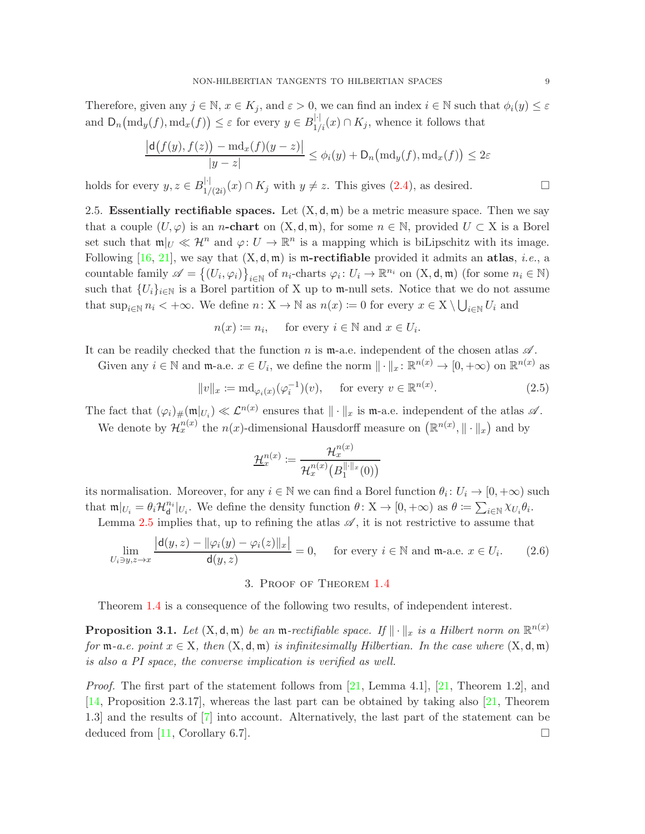Therefore, given any  $j \in \mathbb{N}$ ,  $x \in K_j$ , and  $\varepsilon > 0$ , we can find an index  $i \in \mathbb{N}$  such that  $\phi_i(y) \leq \varepsilon$ and  $D_n(\text{md}_y(f), \text{md}_x(f)) \leq \varepsilon$  for every  $y \in B_{1/i}^{|\cdot|}(x) \cap K_j$ , whence it follows that

$$
\frac{|\mathsf{d}(f(y), f(z)) - \mathrm{md}_x(f)(y-z)|}{|y-z|} \le \phi_i(y) + \mathsf{D}_n\big(\mathrm{md}_y(f), \mathrm{md}_x(f)\big) \le 2\varepsilon
$$

holds for every  $y, z \in B_{1/(2i)}^{|\cdot|}(x) \cap K_j$  with  $y \neq z$ . This gives  $(2.4)$ , as desired.

2.5. Essentially rectifiable spaces. Let  $(X, d, \mathfrak{m})$  be a metric measure space. Then we say that a couple  $(U, \varphi)$  is an *n*-chart on  $(X, d, \mathfrak{m})$ , for some  $n \in \mathbb{N}$ , provided  $U \subset X$  is a Borel set such that  $\mathfrak{m}|_U \ll \mathcal{H}^n$  and  $\varphi: U \to \mathbb{R}^n$  is a mapping which is biLipschitz with its image. Following [\[16,](#page-17-17) [21\]](#page-18-9), we say that  $(X, d, m)$  is m-rectifiable provided it admits an atlas, *i.e.*, a countable family  $\mathscr{A} = \{(U_i, \varphi_i)\}_{i \in \mathbb{N}}$  of  $n_i$ -charts  $\varphi_i : U_i \to \mathbb{R}^{n_i}$  on  $(X, \mathsf{d}, \mathfrak{m})$  (for some  $n_i \in \mathbb{N}$ ) such that  ${U_i}_{i\in\mathbb{N}}$  is a Borel partition of X up to m-null sets. Notice that we do not assume that  $\sup_{i\in\mathbb{N}} n_i < +\infty$ . We define  $n: X \to \mathbb{N}$  as  $n(x) := 0$  for every  $x \in X \setminus \bigcup_{i\in\mathbb{N}} U_i$  and

$$
n(x) := n_i, \quad \text{ for every } i \in \mathbb{N} \text{ and } x \in U_i.
$$

It can be readily checked that the function n is m-a.e. independent of the chosen atlas  $\mathscr A$ .

Given any  $i \in \mathbb{N}$  and  $\mathfrak{m}$ -a.e.  $x \in U_i$ , we define the norm  $\|\cdot\|_x : \mathbb{R}^{n(x)} \to [0, +\infty)$  on  $\mathbb{R}^{n(x)}$  as

<span id="page-8-1"></span>
$$
||v||_{x} := \mathrm{md}_{\varphi_i(x)}(\varphi_i^{-1})(v), \quad \text{ for every } v \in \mathbb{R}^{n(x)}.
$$
 (2.5)

The fact that  $(\varphi_i)_\#(\mathfrak{m}|_{U_i}) \ll \mathcal{L}^{n(x)}$  ensures that  $\|\cdot\|_x$  is  $\mathfrak{m}$ -a.e. independent of the atlas  $\mathscr{A}$ .

We denote by  $\mathcal{H}_x^{n(x)}$  the  $n(x)$ -dimensional Hausdorff measure on  $(\mathbb{R}^{n(x)}, \|\cdot\|_x)$  and by

$$
\underline{\mathcal{H}}_x^{n(x)} \coloneqq \frac{\mathcal{H}_x^{n(x)}}{\mathcal{H}_x^{n(x)}\big(B_1^{\|\cdot\|_x}(0)\big)}
$$

its normalisation. Moreover, for any  $i \in \mathbb{N}$  we can find a Borel function  $\theta_i: U_i \to [0, +\infty)$  such that  $\mathfrak{m}|_{U_i} = \theta_i \mathcal{H}_{\mathbf{d}}^{n_i}|_{U_i}$ . We define the density function  $\theta \colon X \to [0, +\infty)$  as  $\theta \coloneqq \sum_{i \in \mathbb{N}} \chi_{U_i} \theta_i$ . Lemma [2.5](#page-7-2) implies that, up to refining the atlas  $\mathscr{A}$ , it is not restrictive to assume that

<span id="page-8-3"></span>
$$
\lim_{U_i \ni y, z \to x} \frac{\left| \mathbf{d}(y, z) - \|\varphi_i(y) - \varphi_i(z)\|_x \right|}{\mathbf{d}(y, z)} = 0, \quad \text{for every } i \in \mathbb{N} \text{ and } \mathfrak{m}\text{-a.e. } x \in U_i. \tag{2.6}
$$

## 3. Proof of Theorem [1.4](#page-3-0)

<span id="page-8-0"></span>Theorem [1.4](#page-3-0) is a consequence of the following two results, of independent interest.

<span id="page-8-2"></span>**Proposition 3.1.** Let  $(X, \mathsf{d}, \mathfrak{m})$  be an  $\mathfrak{m}$ -rectifiable space. If  $\|\cdot\|_x$  is a Hilbert norm on  $\mathbb{R}^{n(x)}$ for  $m-a.e.$  point  $x \in X$ , then  $(X, d, m)$  is infinitesimally Hilbertian. In the case where  $(X, d, m)$ is also a PI space, the converse implication is verified as well.

*Proof.* The first part of the statement follows from [\[21,](#page-18-9) Lemma 4.1], [21, Theorem 1.2], and [\[14,](#page-17-13) Proposition 2.3.17], whereas the last part can be obtained by taking also [\[21,](#page-18-9) Theorem 1.3] and the results of [\[7\]](#page-17-0) into account. Alternatively, the last part of the statement can be deduced from [\[11,](#page-17-19) Corollary 6.7].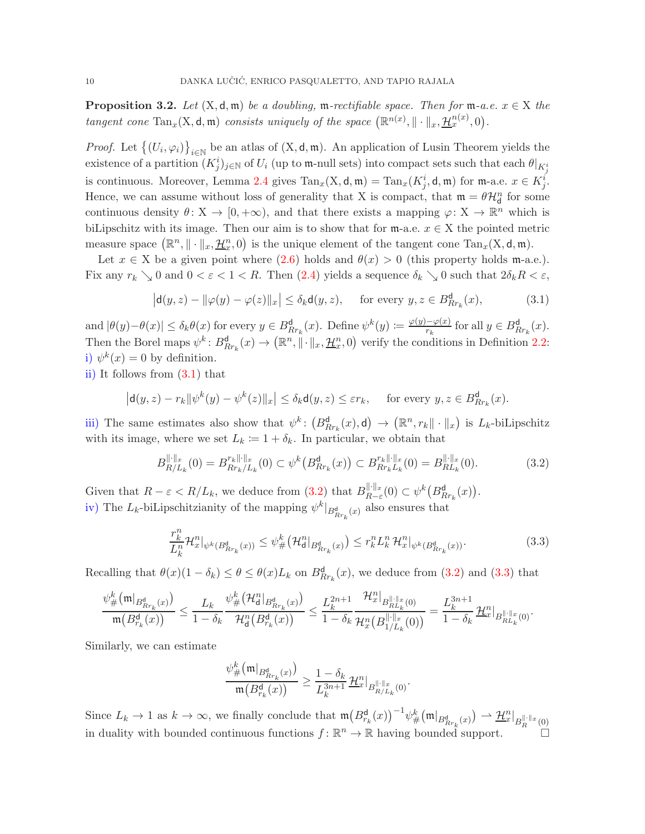<span id="page-9-0"></span>**Proposition 3.2.** Let  $(X, d, m)$  be a doubling, m-rectifiable space. Then for m-a.e.  $x \in X$  the tangent cone  $\text{Tan}_x(X, \mathsf{d}, \mathfrak{m})$  consists uniquely of the space  $(\mathbb{R}^{n(x)}, \|\cdot\|_x, \mathcal{H}_x^{n(x)}, 0)$ .

*Proof.* Let  $\{(U_i, \varphi_i)\}_{i \in \mathbb{N}}$  be an atlas of  $(X, d, \mathfrak{m})$ . An application of Lusin Theorem yields the existence of a partition  $(K_j^i)_{j\in\mathbb{N}}$  of  $U_i$  (up to m-null sets) into compact sets such that each  $\theta|_{K_j^i}$ is continuous. Moreover, Lemma [2.4](#page-7-3) gives  $\text{Tan}_x(X, \mathsf{d}, \mathfrak{m}) = \text{Tan}_x(K_j^i, \mathsf{d}, \mathfrak{m})$  for  $\mathfrak{m}$ -a.e.  $x \in K_j^i$ . Hence, we can assume without loss of generality that X is compact, that  $\mathfrak{m} = \theta \mathcal{H}_{d}^{n}$  for some continuous density  $\theta: X \to [0, +\infty)$ , and that there exists a mapping  $\varphi: X \to \mathbb{R}^n$  which is biLipschitz with its image. Then our aim is to show that for  $m$ -a.e.  $x \in X$  the pointed metric measure space  $(\mathbb{R}^n, \|\cdot\|_x, \underline{\mathcal{H}}_x^n, 0)$  is the unique element of the tangent cone  $\text{Tan}_x(X, \mathsf{d}, \mathfrak{m})$ .

Let  $x \in X$  be a given point where  $(2.6)$  holds and  $\theta(x) > 0$  (this property holds m-a.e.). Fix any  $r_k \searrow 0$  and  $0 < \varepsilon < 1 < R$ . Then [\(2.4\)](#page-7-0) yields a sequence  $\delta_k \searrow 0$  such that  $2\delta_k R < \varepsilon$ ,

<span id="page-9-1"></span>
$$
\left|\mathbf{d}(y,z)-\|\varphi(y)-\varphi(z)\|_{x}\right| \leq \delta_{k}\mathbf{d}(y,z), \quad \text{ for every } y,z \in B_{Rr_{k}}^{\mathbf{d}}(x),\tag{3.1}
$$

and  $|\theta(y)-\theta(x)| \leq \delta_k \theta(x)$  for every  $y \in B_{Rr_k}^{\mathsf{d}}(x)$ . Define  $\psi^k(y) := \frac{\varphi(y)-\varphi(x)}{r_k}$  for all  $y \in B_{Rr_k}^{\mathsf{d}}(x)$ . Then the Borel maps  $\psi^k: B^{\mathsf{d}}_{R r_k}(x) \to (\mathbb{R}^n, \|\cdot\|_x, \mathcal{H}^n_x, 0)$  verify the conditions in Definition [2.2:](#page-6-0) i)  $\psi^k(x) = 0$  by definition.

ii) It follows from [\(3.1\)](#page-9-1) that

$$
\left|\mathsf{d}(y,z)-r_k\|\psi^k(y)-\psi^k(z)\|_x\right|\leq \delta_k\mathsf{d}(y,z)\leq \varepsilon r_k,\quad \text{ for every }y,z\in B_{Rr_k}^{\mathsf{d}}(x).
$$

iii) The same estimates also show that  $\psi^k$ :  $(B_{Rr_k}^d(x), d) \to (\mathbb{R}^n, r_k \|\cdot\|_x)$  is  $L_k$ -biLipschitz with its image, where we set  $L_k := 1 + \delta_k$ . In particular, we obtain that

<span id="page-9-2"></span>
$$
B_{R/L_k}^{\|\cdot\|_x}(0) = B_{Rr_k/L_k}^{r_k\|\cdot\|_x}(0) \subset \psi^k\big(B_{Rr_k}^{\mathsf{d}}(x)\big) \subset B_{Rr_kL_k}^{r_k\|\cdot\|_x}(0) = B_{RL_k}^{\|\cdot\|_x}(0). \tag{3.2}
$$

Given that  $R - \varepsilon < R/L_k$ , we deduce from  $(3.2)$  that  $B_{R-\varepsilon}^{\|\cdot\|_x}(0) \subset \psi^k(B_{Rr_k}^{\mathsf{d}}(x)).$ iv) The  $L_k$ -biLipschitzianity of the mapping  $\psi^k|_{B^{\mathbf{d}}_{R r_k}(x)}$  also ensures that

<span id="page-9-3"></span>
$$
\frac{r_k^n}{L_k^n} \mathcal{H}_x^n|_{\psi^k(B_{Rr_k}^d(x))} \le \psi^k_{\#} \big(\mathcal{H}_d^n|_{B_{Rr_k}^d(x)}\big) \le r_k^n L_k^n \mathcal{H}_x^n|_{\psi^k(B_{Rr_k}^d(x))}.
$$
\n(3.3)

Recalling that  $\theta(x)(1 - \delta_k) \leq \theta \leq \theta(x)L_k$  on  $B_{Rr_k}^d(x)$ , we deduce from [\(3.2\)](#page-9-2) and [\(3.3\)](#page-9-3) that

$$
\frac{\psi^k_\# \big( \mathfrak{m} |_{B_{R r_k}^{\mathbf{d}}(x)} \big)}{\mathfrak{m}\big( B_{r_k}^{\mathbf{d}}(x) \big)} \leq \frac{L_k}{1-\delta_k} \frac{\psi^k_\# \big( \mathcal{H}^n_{\mathbf{d}} |_{B_{R r_k}^{\mathbf{d}}(x)} \big)}{\mathcal{H}^n_{\mathbf{d}}\big( B_{r_k}^{\mathbf{d}}(x) \big)} \leq \frac{L_k^{2n+1}}{1-\delta_k} \frac{\mathcal{H}^n_x |_{B_{R L_k}^{\|\cdot\|_x}(0)}}{\mathcal{H}^n_x \big( B_{1/L_k}^{\|\cdot\|_x}(0) \big)} = \frac{L_k^{3n+1}}{1-\delta_k} \frac{\mathcal{H}^n_x |_{B_{R L_k}^{\|\cdot\|_x}(0)}}{L_{R L_k}^{\|\cdot\|_x}(0)}.
$$

Similarly, we can estimate

$$
\frac{\psi_{\#}^k\big(\mathfrak{m}|_{B_{R r_k}^{\mathbf{d}}(x)}\big)}{\mathfrak{m}\big(B_{r_k}^{\mathbf{d}}(x)\big)} \ge \frac{1-\delta_k}{L_k^{3n+1}} \, \mathcal{H}^n_x|_{B_{R/L_k}^{\|\cdot\|_{x}}(0)}.
$$

Since  $L_k \to 1$  as  $k \to \infty$ , we finally conclude that  $\mathfrak{m}\left(B_{r_k}^{\mathsf{d}}(x)\right)^{-1} \psi_{\#}^k(\mathfrak{m}|_{B_{R r_k}^{\mathsf{d}}(x)}) \to \underline{\mathcal{H}}_x^n|_{B_{R}^{\|\cdot\|_{x}}(0)}$ in duality with bounded continuous functions  $f: \mathbb{R}^n \to \mathbb{R}$  having bounded support.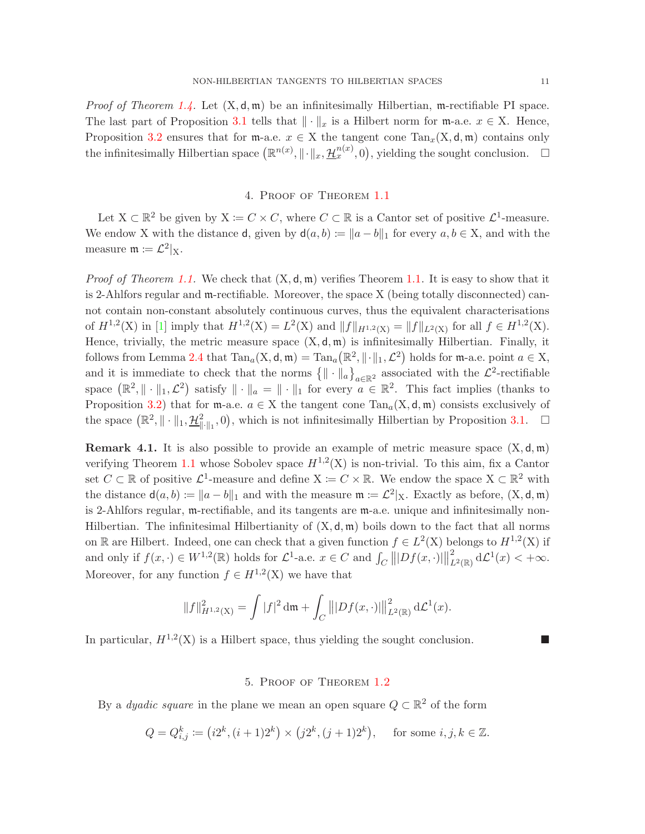*Proof of Theorem [1.4.](#page-3-0)* Let  $(X, d, m)$  be an infinitesimally Hilbertian, m-rectifiable PI space. The last part of Proposition [3.1](#page-8-2) tells that  $\|\cdot\|_x$  is a Hilbert norm for m-a.e.  $x \in X$ . Hence, Proposition [3.2](#page-9-0) ensures that for  $m$ -a.e.  $x \in X$  the tangent cone  $Tan_x(X, d, m)$  contains only the infinitesimally Hilbertian space  $(\mathbb{R}^{n(x)}, \|\cdot\|_x, \mathcal{H}_x^{n(x)}, 0)$ , yielding the sought conclusion.  $\Box$ 

## 4. Proof of Theorem [1.1](#page-2-0)

<span id="page-10-0"></span>Let  $X \subset \mathbb{R}^2$  be given by  $X := C \times C$ , where  $C \subset \mathbb{R}$  is a Cantor set of positive  $\mathcal{L}^1$ -measure. We endow X with the distance **d**, given by  $d(a, b) := ||a - b||_1$  for every  $a, b \in X$ , and with the measure  $\mathfrak{m} \coloneqq \mathcal{L}^2|_{X}$ .

*Proof of Theorem [1.1.](#page-2-0)* We check that  $(X, \mathsf{d}, \mathfrak{m})$  verifies Theorem 1.1. It is easy to show that it is 2-Ahlfors regular and m-rectifiable. Moreover, the space X (being totally disconnected) cannot contain non-constant absolutely continuous curves, thus the equivalent characterisations of  $H^{1,2}(\mathbf{X})$  in [\[1\]](#page-17-14) imply that  $H^{1,2}(\mathbf{X}) = L^2(\mathbf{X})$  and  $||f||_{H^{1,2}(\mathbf{X})} = ||f||_{L^2(\mathbf{X})}$  for all  $f \in H^{1,2}(\mathbf{X})$ . Hence, trivially, the metric measure space  $(X, d, m)$  is infinitesimally Hilbertian. Finally, it follows from Lemma [2.4](#page-7-3) that  $\text{Tan}_a(X, \mathsf{d}, \mathfrak{m}) = \text{Tan}_a(\mathbb{R}^2, \|\cdot\|_1, \mathcal{L}^2)$  holds for  $\mathfrak{m}$ -a.e. point  $a \in X$ , and it is immediate to check that the norms  $\{\|\cdot\|_a\}_{a\in\mathbb{R}^2}$  associated with the  $\mathcal{L}^2$ -rectifiable space  $(\mathbb{R}^2, \|\cdot\|_1, \mathcal{L}^2)$  satisfy  $\|\cdot\|_a = \|\cdot\|_1$  for every  $a \in \mathbb{R}^2$ . This fact implies (thanks to Proposition [3.2\)](#page-9-0) that for m-a.e.  $a \in X$  the tangent cone  $Tan_a(X, d, m)$  consists exclusively of the space  $(\mathbb{R}^2, \|\cdot\|_1, \mathcal{H}_{\|\cdot\|_1}^2, 0)$ , which is not infinitesimally Hilbertian by Proposition [3.1.](#page-8-2)  $\Box$ 

**Remark 4.1.** It is also possible to provide an example of metric measure space  $(X, d, m)$ verifying Theorem [1.1](#page-2-0) whose Sobolev space  $H^{1,2}(X)$  is non-trivial. To this aim, fix a Cantor set  $C \subset \mathbb{R}$  of positive  $\mathcal{L}^1$ -measure and define  $X \coloneqq C \times \mathbb{R}$ . We endow the space  $X \subset \mathbb{R}^2$  with the distance  $d(a, b) := ||a - b||_1$  and with the measure  $\mathfrak{m} := \mathcal{L}^2 |_{X}$ . Exactly as before,  $(X, d, \mathfrak{m})$ is 2-Ahlfors regular, m-rectifiable, and its tangents are m-a.e. unique and infinitesimally non-Hilbertian. The infinitesimal Hilbertianity of  $(X, \mathsf{d}, \mathfrak{m})$  boils down to the fact that all norms on R are Hilbert. Indeed, one can check that a given function  $f \in L^2(X)$  belongs to  $H^{1,2}(X)$  if and only if  $f(x, \cdot) \in W^{1,2}(\mathbb{R})$  holds for  $\mathcal{L}^1$ -a.e.  $x \in C$  and  $\int_C ||Df(x, \cdot)||$ 2  $_{L^2(\mathbb{R})}^2 d\mathcal{L}^1(x) < +\infty.$ Moreover, for any function  $f \in H^{1,2}(\mathbf{X})$  we have that

$$
||f||_{H^{1,2}(\mathbf{X})}^2 = \int |f|^2 \, \mathrm{d}\mathfrak{m} + \int_C |||Df(x,\cdot)||_{L^2(\mathbb{R})}^2 \, \mathrm{d}\mathcal{L}^1(x).
$$

<span id="page-10-1"></span>In particular,  $H^{1,2}(X)$  is a Hilbert space, thus yielding the sought conclusion.

### 5. Proof of Theorem [1.2](#page-2-1)

By a *dyadic square* in the plane we mean an open square  $Q \subset \mathbb{R}^2$  of the form

$$
Q = Q_{i,j}^k := (i2^k, (i+1)2^k) \times (j2^k, (j+1)2^k), \text{ for some } i, j, k \in \mathbb{Z}.
$$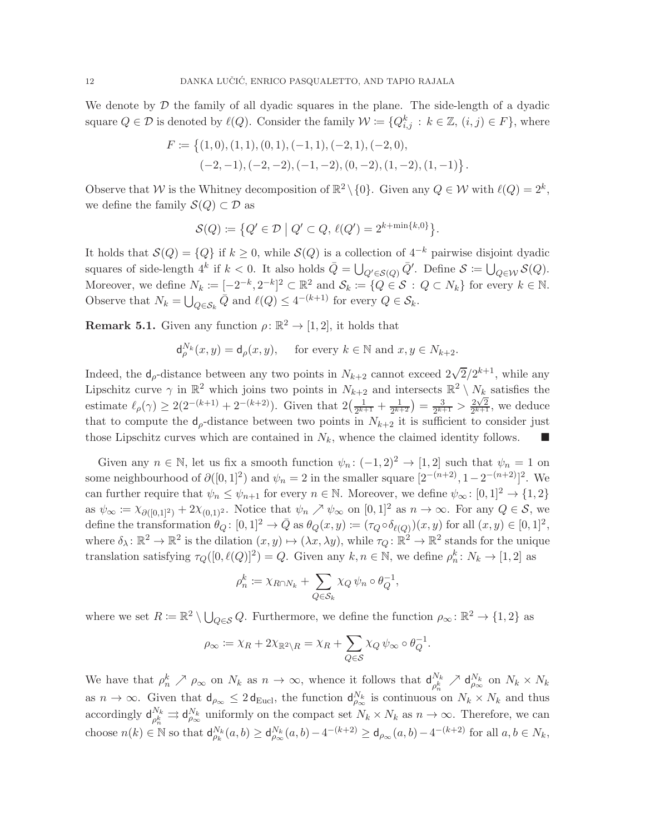We denote by  $D$  the family of all dyadic squares in the plane. The side-length of a dyadic square  $Q \in \mathcal{D}$  is denoted by  $\ell(Q)$ . Consider the family  $\mathcal{W} := \{Q_{i,j}^k : k \in \mathbb{Z}, (i,j) \in F\}$ , where

$$
F := \{(1,0), (1,1), (0,1), (-1,1), (-2,1), (-2,0),(-2,-1), (-2,-2), (-1,-2), (0,-2), (1,-2), (1,-1)\}.
$$

Observe that W is the Whitney decomposition of  $\mathbb{R}^2 \setminus \{0\}$ . Given any  $Q \in \mathcal{W}$  with  $\ell(Q) = 2^k$ , we define the family  $\mathcal{S}(Q) \subset \mathcal{D}$  as

$$
\mathcal{S}(Q) := \left\{ Q' \in \mathcal{D} \mid Q' \subset Q, \, \ell(Q') = 2^{k + \min\{k, 0\}} \right\}.
$$

It holds that  $\mathcal{S}(Q) = \{Q\}$  if  $k \geq 0$ , while  $\mathcal{S}(Q)$  is a collection of  $4^{-k}$  pairwise disjoint dyadic squares of side-length  $4^k$  if  $k < 0$ . It also holds  $\overline{Q} = \bigcup_{Q' \in \mathcal{S}(Q)} \overline{Q}'$ . Define  $\mathcal{S} := \bigcup_{Q \in \mathcal{W}} \mathcal{S}(Q)$ . Moreover, we define  $N_k := [-2^{-k}, 2^{-k}]^2 \subset \mathbb{R}^2$  and  $\mathcal{S}_k := \{Q \in \mathcal{S} : Q \subset N_k\}$  for every  $k \in \mathbb{N}$ . Observe that  $N_k = \bigcup_{Q \in \mathcal{S}_k} \bar{Q}$  and  $\ell(Q) \leq 4^{-(k+1)}$  for every  $Q \in \mathcal{S}_k$ .

<span id="page-11-0"></span>**Remark 5.1.** Given any function  $\rho: \mathbb{R}^2 \to [1, 2]$ , it holds that

$$
\mathsf{d}_{\rho}^{N_k}(x,y) = \mathsf{d}_{\rho}(x,y), \quad \text{ for every } k \in \mathbb{N} \text{ and } x, y \in N_{k+2}.
$$

Indeed, the  $d_{\rho}$ -distance between any two points in  $N_{k+2}$  cannot exceed  $2\sqrt{2}/2^{k+1}$ , while any Lipschitz curve  $\gamma$  in  $\mathbb{R}^2$  which joins two points in  $N_{k+2}$  and intersects  $\mathbb{R}^2 \setminus N_k$  satisfies the estimate  $\ell_{\rho}(\gamma) \geq 2(2^{-(k+1)} + 2^{-(k+2)})$ . Given that  $2(\frac{1}{2^{k+1}})$  $\frac{1}{2^{k+1}} + \frac{1}{2^{k+2}} = \frac{3}{2^{k+1}} > 2\sqrt{2}$  $\frac{2\sqrt{2}}{2^{k+1}}$ , we deduce that to compute the  $d_{\rho}$ -distance between two points in  $N_{k+2}$  it is sufficient to consider just those Lipschitz curves which are contained in  $N_k$ , whence the claimed identity follows.

Given any  $n \in \mathbb{N}$ , let us fix a smooth function  $\psi_n : (-1,2)^2 \to [1,2]$  such that  $\psi_n = 1$  on some neighbourhood of  $\partial([0,1]^2)$  and  $\psi_n = 2$  in the smaller square  $[2^{-(n+2)}, 1-2^{-(n+2)}]^2$ . We can further require that  $\psi_n \leq \psi_{n+1}$  for every  $n \in \mathbb{N}$ . Moreover, we define  $\psi_\infty : [0,1]^2 \to \{1,2\}$ as  $\psi_{\infty} := \chi_{\partial([0,1]^2)} + 2\chi_{(0,1)^2}$ . Notice that  $\psi_n \nearrow \psi_{\infty}$  on  $[0,1]^2$  as  $n \to \infty$ . For any  $Q \in \mathcal{S}$ , we define the transformation  $\theta_Q: [0,1]^2 \to \bar{Q}$  as  $\theta_Q(x,y) := (\tau_Q \circ \delta_{\ell(Q)})(x,y)$  for all  $(x,y) \in [0,1]^2$ , where  $\delta_{\lambda} \colon \mathbb{R}^2 \to \mathbb{R}^2$  is the dilation  $(x, y) \mapsto (\lambda x, \lambda y)$ , while  $\tau_Q \colon \mathbb{R}^2 \to \mathbb{R}^2$  stands for the unique translation satisfying  $\tau_Q([0, \ell(Q)]^2) = Q$ . Given any  $k, n \in \mathbb{N}$ , we define  $\rho_n^k \colon N_k \to [1, 2]$  as

$$
\rho_n^k := \chi_{R \cap N_k} + \sum_{Q \in \mathcal{S}_k} \chi_Q \psi_n \circ \theta_Q^{-1},
$$

where we set  $R \coloneqq \mathbb{R}^2 \setminus \bigcup_{Q \in \mathcal{S}} Q$ . Furthermore, we define the function  $\rho_{\infty} \colon \mathbb{R}^2 \to \{1,2\}$  as

$$
\rho_{\infty} := \chi_R + 2\chi_{\mathbb{R}^2 \setminus R} = \chi_R + \sum_{Q \in \mathcal{S}} \chi_Q \,\psi_{\infty} \circ \theta_Q^{-1}.
$$

We have that  $\rho_n^k \nearrow \rho_\infty$  on  $N_k$  as  $n \to \infty$ , whence it follows that  $\mathsf{d}_{\rho_n^k}^{N_k}$  $\frac{N_k}{\rho_n^k} \nearrow \mathsf{d}_{\rho_\infty}^{N_k}$  on  $N_k \times N_k$ as  $n \to \infty$ . Given that  $d_{\rho_{\infty}} \leq 2 d_{\text{Eucl}}$ , the function  $d_{\rho_{\infty}}^{N_k}$  is continuous on  $N_k \times N_k$  and thus accordingly  $\mathsf{d}_{\scriptscriptstyle{\alpha} k}^{N_k}$  $\frac{N_k}{\rho_k^k} \rightrightarrows \mathsf{d}_{\rho_{\infty}}^{N_k}$  uniformly on the compact set  $N_k \times N_k$  as  $n \to \infty$ . Therefore, we can choose  $n(k) \in \mathbb{N}$  so that  $\mathsf{d}_{\rho_k}^{N_k}(a,b) \geq \mathsf{d}_{\rho_\infty}^{N_k}(a,b) - 4^{-(k+2)} \geq \mathsf{d}_{\rho_\infty}(a,b) - 4^{-(k+2)}$  for all  $a,b \in N_k$ ,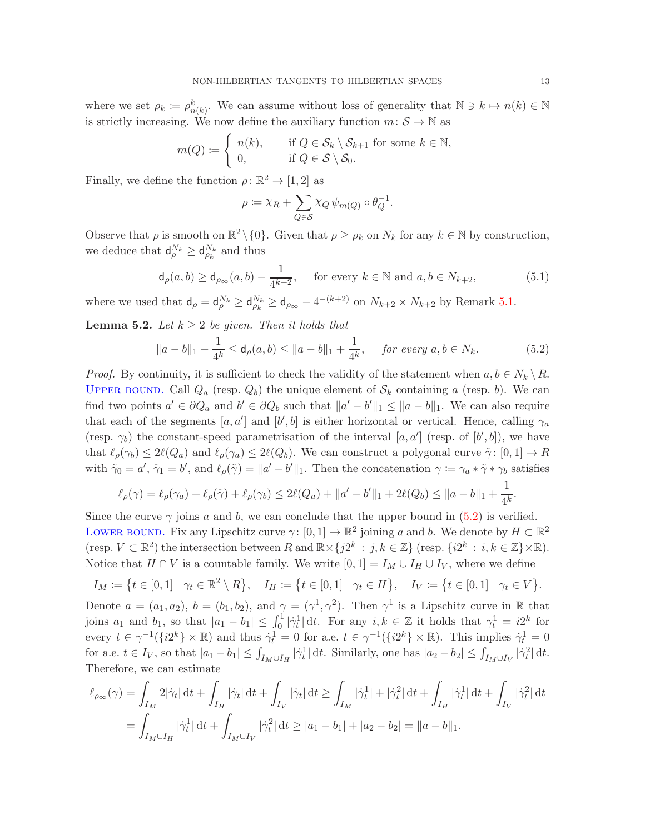where we set  $\rho_k := \rho_{n(k)}^k$ . We can assume without loss of generality that  $\mathbb{N} \ni k \mapsto n(k) \in \mathbb{N}$ is strictly increasing. We now define the auxiliary function  $m: \mathcal{S} \to \mathbb{N}$  as

$$
m(Q) := \begin{cases} n(k), & \text{if } Q \in \mathcal{S}_k \setminus \mathcal{S}_{k+1} \text{ for some } k \in \mathbb{N}, \\ 0, & \text{if } Q \in \mathcal{S} \setminus \mathcal{S}_0. \end{cases}
$$

Finally, we define the function  $\rho \colon \mathbb{R}^2 \to [1,2]$  as

$$
\rho := \chi_R + \sum_{Q \in \mathcal{S}} \chi_Q \,\psi_{m(Q)} \circ \theta_Q^{-1}.
$$

Observe that  $\rho$  is smooth on  $\mathbb{R}^2 \setminus \{0\}$ . Given that  $\rho \geq \rho_k$  on  $N_k$  for any  $k \in \mathbb{N}$  by construction, we deduce that  $\mathsf{d}_{\rho}^{N_k} \geq \mathsf{d}_{\rho_k}^{N_k}$  and thus

<span id="page-12-1"></span>
$$
\mathsf{d}_{\rho}(a,b) \ge \mathsf{d}_{\rho_{\infty}}(a,b) - \frac{1}{4^{k+2}}, \quad \text{ for every } k \in \mathbb{N} \text{ and } a,b \in N_{k+2}, \tag{5.1}
$$

where we used that  $d_{\rho} = d_{\rho}^{N_k} \geq d_{\rho_{\infty}}^{N_k} \geq d_{\rho_{\infty}} - 4^{-(k+2)}$  on  $N_{k+2} \times N_{k+2}$  by Remark [5.1.](#page-11-0)

<span id="page-12-2"></span>**Lemma 5.2.** Let  $k \geq 2$  be given. Then it holds that

<span id="page-12-0"></span>
$$
\|a - b\|_1 - \frac{1}{4^k} \le \mathsf{d}_\rho(a, b) \le \|a - b\|_1 + \frac{1}{4^k}, \quad \text{for every } a, b \in N_k.
$$
 (5.2)

*Proof.* By continuity, it is sufficient to check the validity of the statement when  $a, b \in N_k \setminus R$ . UPPER BOUND. Call  $Q_a$  (resp.  $Q_b$ ) the unique element of  $S_k$  containing a (resp. b). We can find two points  $a' \in \partial Q_a$  and  $b' \in \partial Q_b$  such that  $||a' - b'||_1 \le ||a - b||_1$ . We can also require that each of the segments  $[a, a']$  and  $[b', b]$  is either horizontal or vertical. Hence, calling  $\gamma_a$ (resp.  $\gamma_b$ ) the constant-speed parametrisation of the interval [a, a'] (resp. of [b', b]), we have that  $\ell_{\rho}(\gamma_b) \leq 2\ell(Q_a)$  and  $\ell_{\rho}(\gamma_a) \leq 2\ell(Q_b)$ . We can construct a polygonal curve  $\tilde{\gamma}$ :  $[0,1] \to R$ with  $\tilde{\gamma}_0 = a'$ ,  $\tilde{\gamma}_1 = b'$ , and  $\ell_\rho(\tilde{\gamma}) = ||a' - b'||_1$ . Then the concatenation  $\gamma := \gamma_a * \tilde{\gamma} * \gamma_b$  satisfies

$$
\ell_{\rho}(\gamma) = \ell_{\rho}(\gamma_a) + \ell_{\rho}(\tilde{\gamma}) + \ell_{\rho}(\gamma_b) \le 2\ell(Q_a) + ||a' - b'||_1 + 2\ell(Q_b) \le ||a - b||_1 + \frac{1}{4^k}.
$$

Since the curve  $\gamma$  joins a and b, we can conclude that the upper bound in [\(5.2\)](#page-12-0) is verified. LOWER BOUND. Fix any Lipschitz curve  $\gamma: [0,1] \to \mathbb{R}^2$  joining a and b. We denote by  $H \subset \mathbb{R}^2$ (resp.  $V \subset \mathbb{R}^2$ ) the intersection between  $R$  and  $\mathbb{R} \times \{j2^k : j, k \in \mathbb{Z}\}$  (resp.  $\{i2^k : i, k \in \mathbb{Z}\}\times\mathbb{R}$ ). Notice that  $H \cap V$  is a countable family. We write  $[0, 1] = I_M \cup I_H \cup I_V$ , where we define

$$
I_M := \{ t \in [0,1] \mid \gamma_t \in \mathbb{R}^2 \setminus R \}, \quad I_H := \{ t \in [0,1] \mid \gamma_t \in H \}, \quad I_V := \{ t \in [0,1] \mid \gamma_t \in V \}.
$$

Denote  $a = (a_1, a_2), b = (b_1, b_2),$  and  $\gamma = (\gamma^1, \gamma^2)$ . Then  $\gamma^1$  is a Lipschitz curve in R that joins  $a_1$  and  $b_1$ , so that  $|a_1 - b_1| \leq \int_0^1 |\dot{\gamma}_t^1| dt$ . For any  $i, k \in \mathbb{Z}$  it holds that  $\gamma_t^1 = i2^k$  for every  $t \in \gamma^{-1}(\{i2^k\} \times \mathbb{R})$  and thus  $\dot{\gamma}_t^1 = 0$  for a.e.  $t \in \gamma^{-1}(\{i2^k\} \times \mathbb{R})$ . This implies  $\dot{\gamma}_t^1 = 0$ for a.e.  $t \in I_V$ , so that  $|a_1 - b_1| \leq \int_{I_M \cup I_H} |\dot{\gamma}_t^1| dt$ . Similarly, one has  $|a_2 - b_2| \leq \int_{I_M \cup I_V} |\dot{\gamma}_t^2| dt$ . Therefore, we can estimate

$$
\ell_{\rho_{\infty}}(\gamma) = \int_{I_M} 2|\dot{\gamma}_t| dt + \int_{I_H} |\dot{\gamma}_t| dt + \int_{I_V} |\dot{\gamma}_t| dt \ge \int_{I_M} |\dot{\gamma}_t^1| + |\dot{\gamma}_t^2| dt + \int_{I_H} |\dot{\gamma}_t^1| dt + \int_{I_V} |\dot{\gamma}_t^2| dt
$$
  
= 
$$
\int_{I_M \cup I_H} |\dot{\gamma}_t^1| dt + \int_{I_M \cup I_V} |\dot{\gamma}_t^2| dt \ge |a_1 - b_1| + |a_2 - b_2| = ||a - b||_1.
$$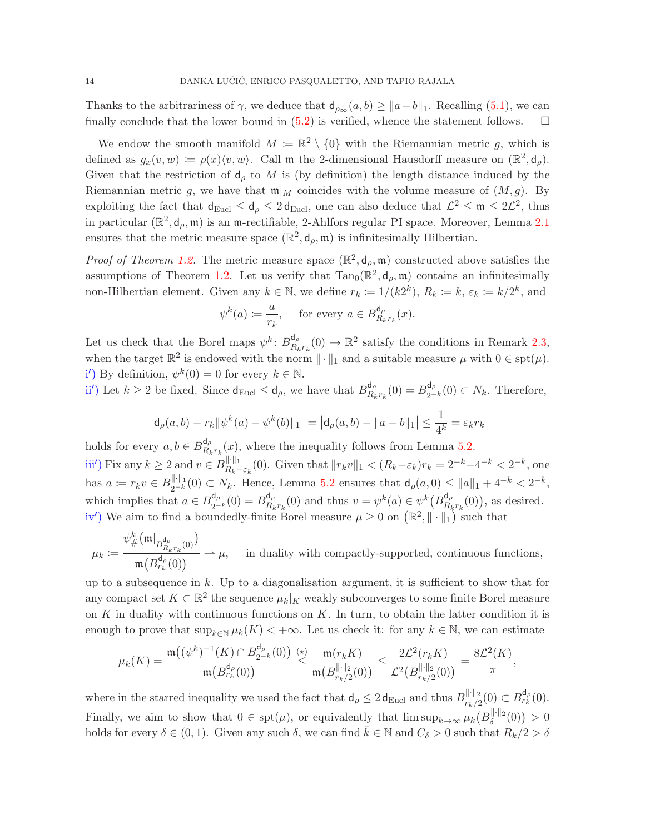Thanks to the arbitrariness of  $\gamma$ , we deduce that  $d_{\rho_{\infty}}(a, b) \geq ||a - b||_1$ . Recalling [\(5.1\)](#page-12-1), we can finally conclude that the lower bound in  $(5.2)$  is verified, whence the statement follows.  $\square$ 

We endow the smooth manifold  $M := \mathbb{R}^2 \setminus \{0\}$  with the Riemannian metric g, which is defined as  $g_x(v, w) := \rho(x) \langle v, w \rangle$ . Call m the 2-dimensional Hausdorff measure on  $(\mathbb{R}^2, \mathsf{d}_{\rho})$ . Given that the restriction of  $d_{\rho}$  to M is (by definition) the length distance induced by the Riemannian metric g, we have that  $\mathfrak{m}|_M$  coincides with the volume measure of  $(M, g)$ . By exploiting the fact that  $d_{Eucl} \leq d_{\rho} \leq 2 d_{Eucl}$ , one can also deduce that  $\mathcal{L}^2 \leq \mathfrak{m} \leq 2\mathcal{L}^2$ , thus in particular  $(\mathbb{R}^2, \mathsf{d}_{\rho}, \mathfrak{m})$  is an  $\mathfrak{m}$ -rectifiable, 2-Ahlfors regular PI space. Moreover, Lemma [2.1](#page-5-2) ensures that the metric measure space  $(\mathbb{R}^2, d_\rho, \mathfrak{m})$  is infinitesimally Hilbertian.

*Proof of Theorem [1.2.](#page-2-1)* The metric measure space  $(\mathbb{R}^2, d_\rho, \mathfrak{m})$  constructed above satisfies the assumptions of Theorem [1.2.](#page-2-1) Let us verify that  $\text{Tan}_0(\mathbb{R}^2, d_\rho, \mathfrak{m})$  contains an infinitesimally non-Hilbertian element. Given any  $k \in \mathbb{N}$ , we define  $r_k := 1/(k2^k)$ ,  $R_k := k$ ,  $\varepsilon_k := k/2^k$ , and

$$
\psi^k(a) := \frac{a}{r_k}, \quad \text{for every } a \in B_{R_k r_k}^{\mathsf{d}_{\rho}}(x).
$$

Let us check that the Borel maps  $\psi^k$ :  $B_{R_i}^{\mathsf{d}_{\rho}}$  $R_{k r_k}^{d_\rho}(0) \to \mathbb{R}^2$  satisfy the conditions in Remark [2.3,](#page-6-1) when the target  $\mathbb{R}^2$  is endowed with the norm  $\|\cdot\|_1$  and a suitable measure  $\mu$  with  $0 \in \text{spt}(\mu)$ . i') By definition,  $\psi^k(0) = 0$  for every  $k \in \mathbb{N}$ .

ii') Let  $k \geq 2$  be fixed. Since  $d_{\text{Eucl}} \leq d_{\rho}$ , we have that  $B_{R_k}^{d_{\rho}}$  $B_{R_k r_k}^{\mathsf{d}_{\rho}}(0) = B_{2^{-}}^{\mathsf{d}_{\rho}}$  $_{2^{-k}}^{\mathfrak{a}_{\rho}}(0) \subset N_k$ . Therefore,

$$
|d_{\rho}(a,b) - r_k \|\psi^k(a) - \psi^k(b)\|_1| = |d_{\rho}(a,b) - \|a - b\|_1| \le \frac{1}{4^k} = \varepsilon_k r_k
$$

holds for every  $a, b \in B_{R_k}^{\mathsf{d}_{\rho}}$  $R_{k}r_{k}(x)$ , where the inequality follows from Lemma [5.2.](#page-12-2) iii') Fix any  $k \geq 2$  and  $v \in B_{R_k-\varepsilon_k}^{\|\cdot\|_1}$  (0). Given that  $||r_kv||_1 < (R_k-\varepsilon_k)r_k = 2^{-k}-4^{-k} < 2^{-k}$ , one has  $a := r_k v \in B_{2^{-k}}^{\|\cdot\|_1}(0) \subset N_k$ . Hence, Lemma [5.2](#page-12-2) ensures that  $d_\rho(a, 0) \leq \|a\|_1 + 4^{-k} < 2^{-k}$ , which implies that  $a \in B_{2^{-}}^{\mathsf{d}_{\rho}}$  $a_{2^{-k}}^{d_{\rho}}(0) = B_{R_k}^{d_{\rho}}$  ${}_{R_k r_k}^{\mathsf{d}_{\rho}}(0)$  and thus  $v = \psi^k(a) \in \psi^k(B_{R_k}^{\mathsf{d}_{\rho}})$  $R_{k}^{a_{\rho}}(0)$ , as desired. iv') We aim to find a boundedly-finite Borel measure  $\mu \geq 0$  on  $(\mathbb{R}^2, \|\cdot\|_1)$  such that

$$
\mu_k \coloneqq \frac{\psi_\#^k \big( \mathfrak{m} \big|_{B_{R_k r_k}^{\mathsf{d}_{\rho}}(0)} \big)}{\mathfrak{m}\big( B_{r_k}^{\mathsf{d}_{\rho}}(0) \big)} \rightharpoonup \mu, \quad \text{ in duality with compactly-supported, continuous functions,}
$$

up to a subsequence in  $k$ . Up to a diagonalisation argument, it is sufficient to show that for any compact set  $K \subset \mathbb{R}^2$  the sequence  $\mu_k|_K$  weakly subconverges to some finite Borel measure on  $K$  in duality with continuous functions on  $K$ . In turn, to obtain the latter condition it is enough to prove that  $\sup_{k\in\mathbb{N}}\mu_k(K)<+\infty$ . Let us check it: for any  $k\in\mathbb{N}$ , we can estimate

$$
\mu_k(K) = \frac{\mathfrak{m}\bigl((\psi^k)^{-1}(K) \cap B_{2^{-k}}^{\mathsf{d}_{\rho}}(0)\bigr)}{\mathfrak{m}\bigl(B_{r_k}^{\mathsf{d}_{\rho}}(0)\bigr)} \overset{(\star)}{\leq} \frac{\mathfrak{m}(r_k K)}{\mathfrak{m}\bigl(B_{r_k/2}^{\|\cdot\|_2}(0)\bigr)} \leq \frac{2 \mathcal{L}^2(r_k K)}{\mathcal{L}^2\bigl(B_{r_k/2}^{\|\cdot\|_2}(0)\bigr)} = \frac{8 \mathcal{L}^2(K)}{\pi},
$$

where in the starred inequality we used the fact that  $d_{\rho} \leq 2 d_{\text{Eucl}}$  and thus  $B_{r_k/2}^{\|\cdot\|_2}(0) \subset B_{r_k}^{d_{\rho}}(0)$ . Finally, we aim to show that  $0 \in \text{spt}(\mu)$ , or equivalently that  $\limsup_{k\to\infty} \mu_k(B_{\delta}^{\|\cdot\|_2}(0)) > 0$ holds for every  $\delta \in (0,1)$ . Given any such  $\delta$ , we can find  $\bar{k} \in \mathbb{N}$  and  $C_{\delta} > 0$  such that  $R_k/2 > \delta$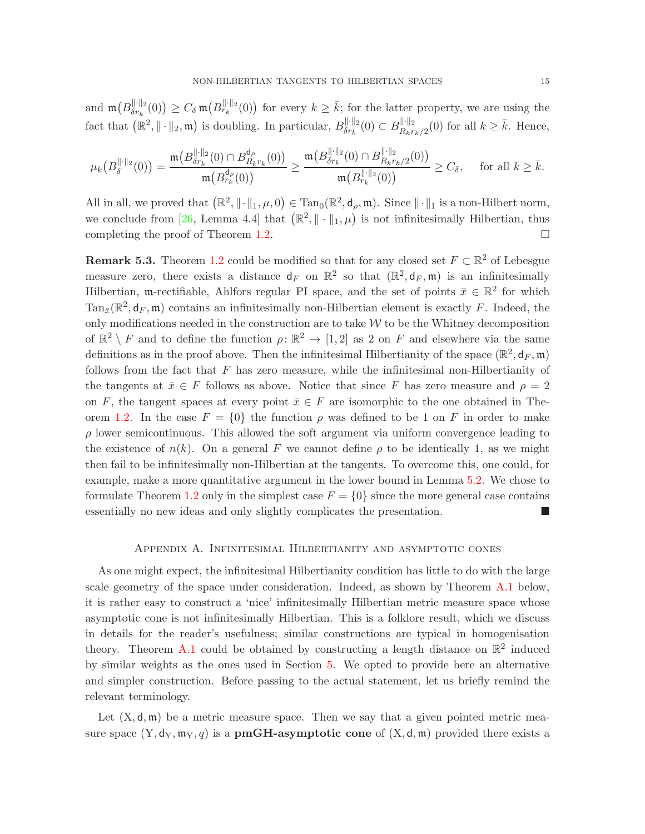and  $\mathfrak{m}\big(B_{\delta r_k}^{\|\cdot\|_2}(0)\big) \geq C_\delta \mathfrak{m}\big(B_{r_k}^{\|\cdot\|_2}(0)\big)$  for every  $k \geq \overline{k}$ ; for the latter property, we are using the fact that  $(\mathbb{R}^2, \|\cdot\|_2, \mathfrak{m})$  is doubling. In particular,  $B_{\delta r_k}^{\|\cdot\|_2}(0) \subset B_{R_k r_k/2}^{\|\cdot\|_2}(0)$  for all  $k \geq \bar{k}$ . Hence,

$$
\mu_k\big(B_\delta^{\|\cdot\|_2}(0)\big)=\frac{\mathfrak{m}\big(B_{\delta r_k}^{\|\cdot\|_2}(0)\cap B_{R_k r_k}^{d_\rho}(0)\big)}{\mathfrak{m}\big(B_{r_k}^{d_\rho}(0)\big)}\geq \frac{\mathfrak{m}\big(B_{\delta r_k}^{\|\cdot\|_2}(0)\cap B_{R_k r_k/2}^{\|\cdot\|_2}(0)\big)}{\mathfrak{m}\big(B_{r_k}^{\|\cdot\|_2}(0)\big)}\geq C_\delta,\quad \text{ for all } k\geq \bar{k}.
$$

All in all, we proved that  $(\mathbb{R}^2, \|\cdot\|_1, \mu, 0) \in \text{Tan}_0(\mathbb{R}^2, d_\rho, \mathfrak{m})$ . Since  $\|\cdot\|_1$  is a non-Hilbert norm, we conclude from [\[26,](#page-18-10) Lemma 4.4] that  $(\mathbb{R}^2, \|\cdot\|_1, \mu)$  is not infinitesimally Hilbertian, thus completing the proof of Theorem [1.2.](#page-2-1)

**Remark 5.3.** Theorem [1.2](#page-2-1) could be modified so that for any closed set  $F \subset \mathbb{R}^2$  of Lebesgue measure zero, there exists a distance  $d_F$  on  $\mathbb{R}^2$  so that  $(\mathbb{R}^2, d_F, \mathfrak{m})$  is an infinitesimally Hilbertian, m-rectifiable, Ahlfors regular PI space, and the set of points  $\bar{x} \in \mathbb{R}^2$  for which  $\text{Tan}_{\bar{x}}(\mathbb{R}^2, \mathsf{d}_F, \mathfrak{m})$  contains an infinitesimally non-Hilbertian element is exactly F. Indeed, the only modifications needed in the construction are to take  $W$  to be the Whitney decomposition of  $\mathbb{R}^2 \setminus F$  and to define the function  $\rho \colon \mathbb{R}^2 \to [1,2]$  as 2 on F and elsewhere via the same definitions as in the proof above. Then the infinitesimal Hilbertianity of the space  $(\mathbb{R}^2, \mathsf{d}_F, \mathfrak{m})$ follows from the fact that  $F$  has zero measure, while the infinitesimal non-Hilbertianity of the tangents at  $\bar{x} \in F$  follows as above. Notice that since F has zero measure and  $\rho = 2$ on F, the tangent spaces at every point  $\bar{x} \in F$  are isomorphic to the one obtained in The-orem [1.2.](#page-2-1) In the case  $F = \{0\}$  the function  $\rho$  was defined to be 1 on F in order to make  $\rho$  lower semicontinuous. This allowed the soft argument via uniform convergence leading to the existence of  $n(k)$ . On a general F we cannot define  $\rho$  to be identically 1, as we might then fail to be infinitesimally non-Hilbertian at the tangents. To overcome this, one could, for example, make a more quantitative argument in the lower bound in Lemma [5.2.](#page-12-2) We chose to formulate Theorem [1.2](#page-2-1) only in the simplest case  $F = \{0\}$  since the more general case contains essentially no new ideas and only slightly complicates the presentation.

#### Appendix A. Infinitesimal Hilbertianity and asymptotic cones

<span id="page-14-0"></span>As one might expect, the infinitesimal Hilbertianity condition has little to do with the large scale geometry of the space under consideration. Indeed, as shown by Theorem [A.1](#page-15-0) below, it is rather easy to construct a 'nice' infinitesimally Hilbertian metric measure space whose asymptotic cone is not infinitesimally Hilbertian. This is a folklore result, which we discuss in details for the reader's usefulness; similar constructions are typical in homogenisation theory. Theorem [A.1](#page-15-0) could be obtained by constructing a length distance on  $\mathbb{R}^2$  induced by similar weights as the ones used in Section [5.](#page-10-1) We opted to provide here an alternative and simpler construction. Before passing to the actual statement, let us briefly remind the relevant terminology.

Let  $(X, d, m)$  be a metric measure space. Then we say that a given pointed metric measure space  $(Y, d_Y, m_Y, q)$  is a **pmGH-asymptotic cone** of  $(X, d, m)$  provided there exists a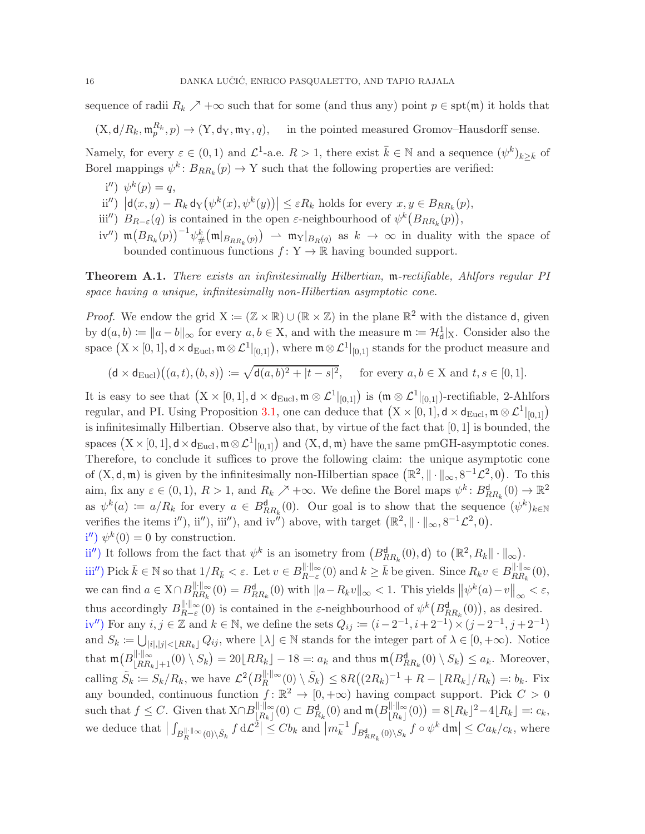sequence of radii  $R_k \nearrow +\infty$  such that for some (and thus any) point  $p \in \text{spt}(\mathfrak{m})$  it holds that

 $(X, d/R_k, \mathfrak{m}_p^{R_k}, p) \to (Y, d_Y, \mathfrak{m}_Y, q)$ , in the pointed measured Gromov–Hausdorff sense.

Namely, for every  $\varepsilon \in (0,1)$  and  $\mathcal{L}^1$ -a.e.  $R > 1$ , there exist  $\bar{k} \in \mathbb{N}$  and a sequence  $(\psi^k)_{k \geq \bar{k}}$  of Borel mappings  $\psi^k$ :  $B_{RR_k}(p) \to Y$  such that the following properties are verified:

- i'')  $\psi^k(p) = q,$
- $\text{dist}'$   $|d(x,y) R_k d_Y(\psi^k(x), \psi^k(y))| \leq \varepsilon R_k$  holds for every  $x, y \in B_{RR_k}(p)$ ,
- iii'')  $B_{R-\varepsilon}(q)$  is contained in the open  $\varepsilon$ -neighbourhood of  $\psi^k(B_{RR_k}(p)),$
- iv'')  $\mathfrak{m}(B_{R_k}(p))^{-1}\psi_{\#}^k(\mathfrak{m}|_{B_{RR_k}(p)}) \rightharpoonup \mathfrak{m}_Y|_{B_R(q)}$  as  $k \to \infty$  in duality with the space of bounded continuous functions  $f: Y \to \mathbb{R}$  having bounded support.

<span id="page-15-0"></span>Theorem A.1. There exists an infinitesimally Hilbertian, m-rectifiable, Ahlfors regular PI space having a unique, infinitesimally non-Hilbertian asymptotic cone.

*Proof.* We endow the grid  $X := (\mathbb{Z} \times \mathbb{R}) \cup (\mathbb{R} \times \mathbb{Z})$  in the plane  $\mathbb{R}^2$  with the distance d, given by  $\mathsf{d}(a, b) \coloneqq \|a - b\|_{\infty}$  for every  $a, b \in \mathsf{X}$ , and with the measure  $\mathfrak{m} \coloneqq \mathcal{H}^1_{\mathsf{d}}|_{\mathsf{X}}$ . Consider also the space  $(X \times [0,1], d \times d_{\text{Eucl}}, \mathfrak{m} \otimes \mathcal{L}^1|_{[0,1]})$ , where  $\mathfrak{m} \otimes \mathcal{L}^1|_{[0,1]}$  stands for the product measure and

$$
(\mathsf{d} \times \mathsf{d}_{\mathrm{Eucl}}) \big( (a, t), (b, s) \big) \coloneqq \sqrt{\mathsf{d}(a, b)^2 + |t - s|^2}, \quad \text{ for every } a, b \in \mathcal{X} \text{ and } t, s \in [0, 1].
$$

It is easy to see that  $(X \times [0,1], d \times d_{Eucl}, \mathfrak{m} \otimes \mathcal{L}^1|_{[0,1]})$  is  $(\mathfrak{m} \otimes \mathcal{L}^1|_{[0,1]})$ -rectifiable, 2-Ahlfors regular, and PI. Using Proposition [3.1,](#page-8-2) one can deduce that  $(X \times [0, 1], d \times d_{Eucl}, \mathfrak{m} \otimes \mathcal{L}^1|_{[0,1]})$ is infinitesimally Hilbertian. Observe also that, by virtue of the fact that [0, 1] is bounded, the spaces  $(X \times [0, 1], d \times d_{Eucl}, \mathfrak{m} \otimes \mathcal{L}^1|_{[0,1]})$  and  $(X, d, \mathfrak{m})$  have the same pmGH-asymptotic cones. Therefore, to conclude it suffices to prove the following claim: the unique asymptotic cone of  $(X, d, \mathfrak{m})$  is given by the infinitesimally non-Hilbertian space  $(\mathbb{R}^2, \| \cdot \|_{\infty}, 8^{-1} \mathcal{L}^2, 0)$ . To this aim, fix any  $\varepsilon \in (0,1)$ ,  $R > 1$ , and  $R_k \nearrow +\infty$ . We define the Borel maps  $\psi^k: B_{RR_k}^{\mathsf{d}}(0) \to \mathbb{R}^2$ as  $\psi^k(a) := a/R_k$  for every  $a \in B_{RR_k}^{\mathsf{d}}(0)$ . Our goal is to show that the sequence  $(\psi^k)_{k \in \mathbb{N}}$ verifies the items i''), iii''), and iv<sup> $\ddot{\theta}$ </sup> above, with target  $(\mathbb{R}^2, \|\cdot\|_{\infty}, 8^{-1}\mathcal{L}^2, 0)$ .  $i''$ )  $\psi^k(0) = 0$  by construction.

ii'') It follows from the fact that  $\psi^k$  is an isometry from  $(B_{RR_k}^{\mathsf{d}}(0),\mathsf{d})$  to  $(\mathbb{R}^2, R_k \|\cdot\|_{\infty})$ .  $\text{iiii''}\right) \text{Pick } \bar{k} \in \mathbb{N} \text{ so that } 1/R_{\bar{k}} < \varepsilon. \text{ Let } v \in B_{R-\varepsilon}^{\|\cdot\|_{\infty}}(0) \text{ and } k \geq \bar{k} \text{ be given. Since } R_k v \in B_{RR_k}^{\|\cdot\|_{\infty}}(0),$ we can find  $a \in X \cap B_{RR_k}^{\|\cdot\|_{\infty}}(0) = B_{RR_k}^{\mathsf{d}}(0)$  with  $\|a - R_k v\|_{\infty} < 1$ . This yields  $\|\psi^k(a) - v\|_{\infty} < \varepsilon$ , ∞ thus accordingly  $B_{R-\varepsilon}^{\|\cdot\|_{\infty}}(0)$  is contained in the  $\varepsilon$ -neighbourhood of  $\psi^k(B_{RR_k}^{\mathsf{d}}(0))$ , as desired. iv'') For any  $i, j \in \mathbb{Z}$  and  $k \in \mathbb{N}$ , we define the sets  $Q_{ij} \coloneqq (i - 2^{-1}, i + 2^{-1}) \times (j - 2^{-1}, j + 2^{-1})$ and  $S_k := \bigcup_{i} |i|, |j| \in [RR_k]} Q_{ij}$ , where  $[\lambda] \in \mathbb{N}$  stands for the integer part of  $\lambda \in [0, +\infty)$ . Notice that  $\mathfrak{m}\big(B_{\lfloor RR_k\rfloor+1}^{\|\cdot\|_{\infty}}(0)\setminus S_k\big)=20\lfloor RR_k\rfloor-18=:a_k$  and thus  $\mathfrak{m}\big(B_{RR_k}^{\mathsf{d}}(0)\setminus S_k\big)\le a_k$ . Moreover, calling  $\tilde{S}_k := S_k/R_k$ , we have  $\mathcal{L}^2(B_R^{\|\cdot\|_{\infty}}(0) \setminus \tilde{S}_k) \leq 8R((2R_k)^{-1} + R - \lfloor RR_k \rfloor/R_k) =: b_k$ . Fix cannig  $D_k := D_k / I_k$ , we have  $\mathcal{L}$   $(D_R \t (O) \t D_k) \leq \delta I((2I_k) + I_k - [I_l I_k] / I_k) = \delta_k$ . Fix<br>any bounded, continuous function  $f: \mathbb{R}^2 \to [0, +\infty)$  having compact support. Pick  $C > 0$ such that  $f \leq C$ . Given that  $X \cap B_{R_k}^{\|\cdot\|_{\infty}}(0) \subset B_{R_k}^{\mathsf{d}}(0)$  and  $\mathfrak{m}(B_{R_k}^{\|\cdot\|_{\infty}}(0)) = 8[R_k]^2 - 4[R_k] =: c_k$ , we deduce that  $\left| \int_{B_R^{\|\cdot\|_{\infty}(0)\setminus \tilde{S}_k} f d\mathcal{L}^2 \right| \leq C b_k$  and  $\left| m_k^{-1} \int_{B_{RR_k}^d(0)\setminus S_k} f \circ \psi^k dm \right| \leq C a_k/c_k$ , where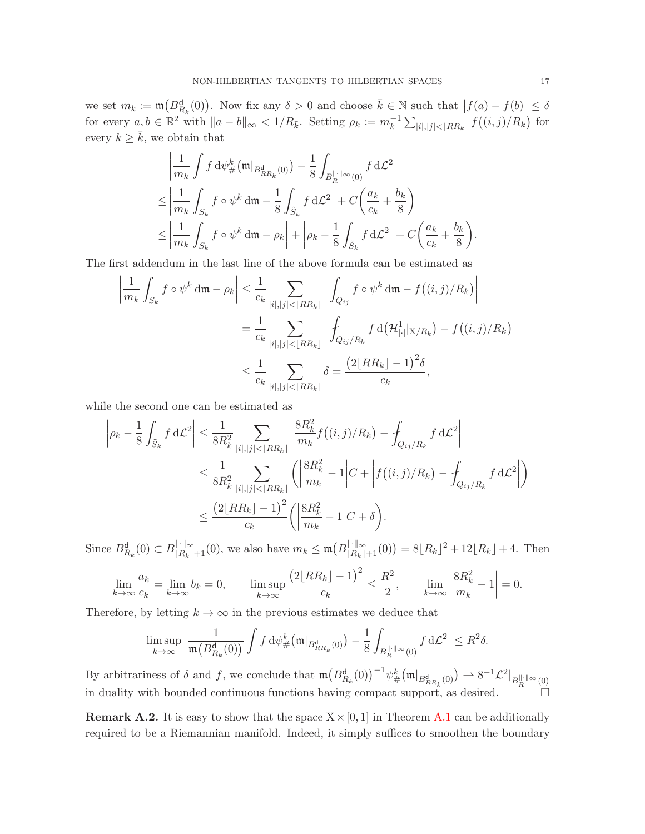we set  $m_k := \mathfrak{m}\big(B_{R_k}^d(0)\big)$ . Now fix any  $\delta > 0$  and choose  $\overline{k} \in \mathbb{N}$  such that  $|f(a) - f(b)| \leq \delta$ for every  $a, b \in \mathbb{R}^2$  with  $||a - b||_{\infty} < 1/R_{\bar{k}}$ . Setting  $\rho_k := m_k^{-1} \sum_{|i|, |j| < \lfloor RR_k \rfloor} f((i, j)/R_k)$  for every  $k \geq \overline{k}$ , we obtain that

$$
\left| \frac{1}{m_k} \int f \, \mathrm{d}\psi^k_{\#}(\mathfrak{m}|_{B^{\mathbf{d}}_{RR_k}(0)}) - \frac{1}{8} \int_{B^{\|\cdot\|_{\infty}}_R(0)} f \, \mathrm{d}\mathcal{L}^2 \right|
$$
\n
$$
\leq \left| \frac{1}{m_k} \int_{S_k} f \circ \psi^k \, \mathrm{d}\mathfrak{m} - \frac{1}{8} \int_{\tilde{S}_k} f \, \mathrm{d}\mathcal{L}^2 \right| + C \left( \frac{a_k}{c_k} + \frac{b_k}{8} \right)
$$
\n
$$
\leq \left| \frac{1}{m_k} \int_{S_k} f \circ \psi^k \, \mathrm{d}\mathfrak{m} - \rho_k \right| + \left| \rho_k - \frac{1}{8} \int_{\tilde{S}_k} f \, \mathrm{d}\mathcal{L}^2 \right| + C \left( \frac{a_k}{c_k} + \frac{b_k}{8} \right)
$$

The first addendum in the last line of the above formula can be estimated as

$$
\left| \frac{1}{m_k} \int_{S_k} f \circ \psi^k \, dm - \rho_k \right| \leq \frac{1}{c_k} \sum_{|i|, |j| < \lfloor RR_k \rfloor} \left| \int_{Q_{ij}} f \circ \psi^k \, dm - f((i, j)/R_k) \right|
$$
  
= 
$$
\frac{1}{c_k} \sum_{|i|, |j| < \lfloor RR_k \rfloor} \left| \int_{Q_{ij}/R_k} f \, d(\mathcal{H}_{|\cdot|}^1 |_{X/R_k}) - f((i, j)/R_k) \right|
$$
  

$$
\leq \frac{1}{c_k} \sum_{|i|, |j| < \lfloor RR_k \rfloor} \delta = \frac{(2 \lfloor RR_k \rfloor - 1)^2 \delta}{c_k},
$$

while the second one can be estimated as

$$
\left| \rho_k - \frac{1}{8} \int_{\tilde{S}_k} f \, d\mathcal{L}^2 \right| \leq \frac{1}{8R_k^2} \sum_{|i|,|j| < \lfloor RR_k \rfloor} \left| \frac{8R_k^2}{m_k} f((i,j)/R_k) - \int_{Q_{ij}/R_k} f \, d\mathcal{L}^2 \right|
$$
  

$$
\leq \frac{1}{8R_k^2} \sum_{|i|,|j| < \lfloor RR_k \rfloor} \left( \left| \frac{8R_k^2}{m_k} - 1 \right| C + \left| f((i,j)/R_k) - \int_{Q_{ij}/R_k} f \, d\mathcal{L}^2 \right| \right)
$$
  

$$
\leq \frac{\left(2 \lfloor RR_k \rfloor - 1\right)^2}{c_k} \left( \left| \frac{8R_k^2}{m_k} - 1 \right| C + \delta \right).
$$

Since  $B_{R_k}^{\mathsf{d}}(0) \subset B_{\lfloor R_k \rfloor+1}^{\|\cdot\|_{\infty}}(0)$ , we also have  $m_k \leq \mathfrak{m}\big(B_{\lfloor R_k \rfloor+1}^{\|\cdot\|_{\infty}}(0)\big) = 8\lfloor R_k \rfloor^2 + 12\lfloor R_k \rfloor + 4$ . Then

$$
\lim_{k \to \infty} \frac{a_k}{c_k} = \lim_{k \to \infty} b_k = 0, \qquad \limsup_{k \to \infty} \frac{\left(2\lfloor RR_k \rfloor - 1\right)^2}{c_k} \le \frac{R^2}{2}, \qquad \lim_{k \to \infty} \left|\frac{8R_k^2}{m_k} - 1\right| = 0.
$$

Therefore, by letting  $k \to \infty$  in the previous estimates we deduce that

$$
\limsup_{k\to\infty}\left|\frac{1}{\mathfrak{m}\big(B_{R_k}^{\mathsf{d}}(0)\big)}\int f\,\mathrm{d}\psi_\#^k\big(\mathfrak{m}|_{B_{RR_k}^{\mathsf{d}}(0)}\big)-\frac{1}{8}\int_{B_R^{\|\cdot\|_\infty}(0)}f\,\mathrm{d}\mathcal{L}^2\right|\leq R^2\delta.
$$

By arbitrariness of  $\delta$  and  $f$ , we conclude that  $\mathfrak{m}\big(B_{R_k}^{\mathsf{d}}(0)\big)^{-1}\psi_{\#}^k\big(\mathfrak{m}|_{B_{R_{R_k}}^{\mathsf{d}}(0)}\big) \rightharpoonup 8^{-1}\mathcal{L}^2|_{B_{R}^{\|\cdot\|_{\infty}}(0)}$ in duality with bounded continuous functions having compact support, as desired.

**Remark A.2.** It is easy to show that the space  $X \times [0, 1]$  in Theorem [A.1](#page-15-0) can be additionally required to be a Riemannian manifold. Indeed, it simply suffices to smoothen the boundary

.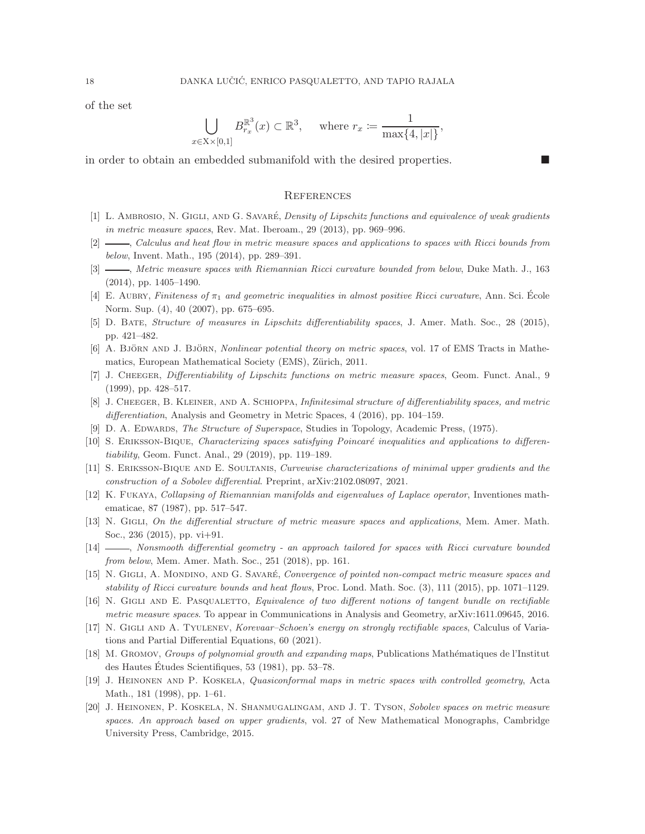of the set

$$
\bigcup_{x \in \mathcal{X} \times [0,1]} B_{r_x}^{\mathbb{R}^3}(x) \subset \mathbb{R}^3, \quad \text{where } r_x := \frac{1}{\max\{4, |x|\}},
$$

in order to obtain an embedded submanifold with the desired properties.

#### **REFERENCES**

- <span id="page-17-14"></span><span id="page-17-1"></span>[1] L. AMBROSIO, N. GIGLI, AND G. SAVARÉ, Density of Lipschitz functions and equivalence of weak gradients in metric measure spaces, Rev. Mat. Iberoam., 29 (2013), pp. 969–996.
- <span id="page-17-10"></span>[2]  $\_\_\_\_\$ calculus and heat flow in metric measure spaces and applications to spaces with Ricci bounds from below, Invent. Math., 195 (2014), pp. 289–391.
- <span id="page-17-11"></span>[3] — Retric measure spaces with Riemannian Ricci curvature bounded from below, Duke Math. J., 163 (2014), pp. 1405–1490.
- <span id="page-17-7"></span>[4] E. AUBRY, Finiteness of  $\pi_1$  and geometric inequalities in almost positive Ricci curvature, Ann. Sci. École Norm. Sup. (4), 40 (2007), pp. 675–695.
- <span id="page-17-15"></span>[5] D. Bate, Structure of measures in Lipschitz differentiability spaces, J. Amer. Math. Soc., 28 (2015), pp. 421–482.
- <span id="page-17-0"></span>[6] A. BJÖRN AND J. BJÖRN, *Nonlinear potential theory on metric spaces*, vol. 17 of EMS Tracts in Mathematics, European Mathematical Society (EMS), Zürich, 2011.
- <span id="page-17-12"></span>[7] J. Cheeger, Differentiability of Lipschitz functions on metric measure spaces, Geom. Funct. Anal., 9 (1999), pp. 428–517.
- <span id="page-17-2"></span>[8] J. CHEEGER, B. KLEINER, AND A. SCHIOPPA, Infinitesimal structure of differentiability spaces, and metric differentiation, Analysis and Geometry in Metric Spaces, 4 (2016), pp. 104–159.
- <span id="page-17-8"></span>[9] D. A. EDWARDS, The Structure of Superspace, Studies in Topology, Academic Press, (1975).
- <span id="page-17-19"></span>[10] S. Eriksson-Bique, Characterizing spaces satisfying Poincar´e inequalities and applications to differentiability, Geom. Funct. Anal., 29 (2019), pp. 119–189.
- <span id="page-17-4"></span>[11] S. Eriksson-Bique and E. Soultanis, Curvewise characterizations of minimal upper gradients and the construction of a Sobolev differential. Preprint, arXiv:2102.08097, 2021.
- [12] K. Fukaya, Collapsing of Riemannian manifolds and eigenvalues of Laplace operator, Inventiones mathematicae, 87 (1987), pp. 517–547.
- <span id="page-17-13"></span><span id="page-17-9"></span>[13] N. GIGLI, On the differential structure of metric measure spaces and applications, Mem. Amer. Math. Soc., 236 (2015), pp. vi+91.
- <span id="page-17-16"></span>[14]  $\_\_\_\_\_\$  Nonsmooth differential geometry - an approach tailored for spaces with Ricci curvature bounded from below, Mem. Amer. Math. Soc., 251 (2018), pp. 161.
- <span id="page-17-17"></span>[15] N. GIGLI, A. MONDINO, AND G. SAVARÉ, Convergence of pointed non-compact metric measure spaces and stability of Ricci curvature bounds and heat flows, Proc. Lond. Math. Soc. (3), 111 (2015), pp. 1071–1129.
- <span id="page-17-18"></span>[16] N. GIGLI AND E. PASQUALETTO, Equivalence of two different notions of tangent bundle on rectifiable metric measure spaces. To appear in Communications in Analysis and Geometry, arXiv:1611.09645, 2016.
- [17] N. Gigli and A. Tyulenev, Korevaar–Schoen's energy on strongly rectifiable spaces, Calculus of Variations and Partial Differential Equations, 60 (2021).
- <span id="page-17-3"></span>[18] M. GROMOV, Groups of polynomial growth and expanding maps, Publications Mathématiques de l'Institut des Hautes Etudes Scientifiques, 53 (1981), pp. 53–78. ´
- <span id="page-17-5"></span>[19] J. Heinonen and P. Koskela, Quasiconformal maps in metric spaces with controlled geometry, Acta Math., 181 (1998), pp. 1–61.
- <span id="page-17-6"></span>[20] J. Heinonen, P. Koskela, N. Shanmugalingam, and J. T. Tyson, Sobolev spaces on metric measure spaces. An approach based on upper gradients, vol. 27 of New Mathematical Monographs, Cambridge University Press, Cambridge, 2015.